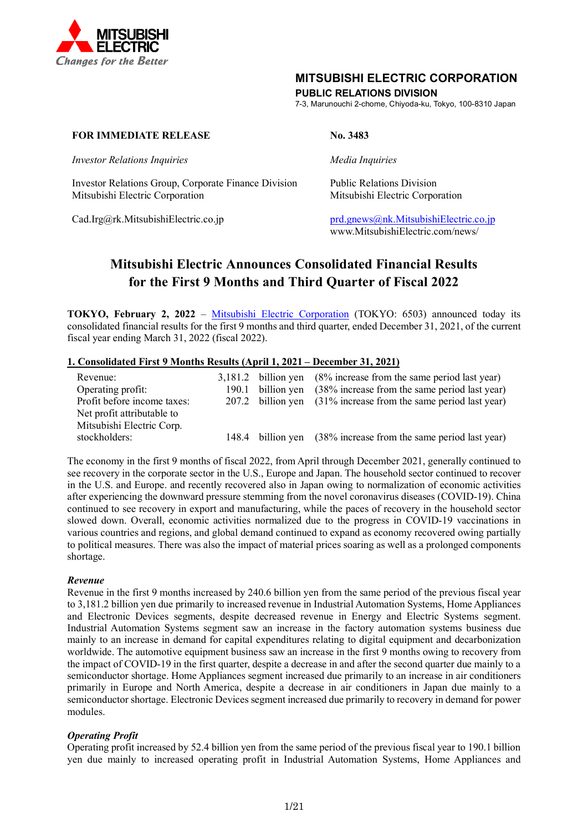

### **MITSUBISHI ELECTRIC CORPORATION**

### **PUBLIC RELATIONS DIVISION**

7-3, Marunouchi 2-chome, Chiyoda-ku, Tokyo, 100-8310 Japan

### **FOR IMMEDIATE RELEASE No. 3483**

*Investor Relations Inquiries Media Inquiries*

Investor Relations Group, Corporate Finance Division Public Relations Division Mitsubishi Electric Corporation Mitsubishi Electric Corporation

Cad.Irg@rk.MitsubishiElectric.co.jp [prd.gnews@nk.MitsubishiElectric.co.jp](mailto:prd.gnews@nk.MitsubishiElectric.co.jp) www.MitsubishiElectric.com/news/

## **Mitsubishi Electric Announces Consolidated Financial Results for the First 9 Months and Third Quarter of Fiscal 2022**

**TOKYO, February 2, 2022** – [Mitsubishi Electric Corporation](http://www.mitsubishielectric.com/) (TOKYO: 6503) announced today its consolidated financial results for the first 9 months and third quarter, ended December 31, 2021, of the current fiscal year ending March 31, 2022 (fiscal 2022).

### **1. Consolidated First 9 Months Results (April 1, 2021 – December 31, 2021)**

| Revenue:                    |       | $3,181.2$ billion yen $(8\%$ increase from the same period last year) |
|-----------------------------|-------|-----------------------------------------------------------------------|
| Operating profit:           | 190.1 | billion yen (38% increase from the same period last year)             |
| Profit before income taxes: |       | 207.2 billion yen (31% increase from the same period last year)       |
| Net profit attributable to  |       |                                                                       |
| Mitsubishi Electric Corp.   |       |                                                                       |
| stockholders:               |       | 148.4 billion yen (38% increase from the same period last year)       |

The economy in the first 9 months of fiscal 2022, from April through December 2021, generally continued to see recovery in the corporate sector in the U.S., Europe and Japan. The household sector continued to recover in the U.S. and Europe. and recently recovered also in Japan owing to normalization of economic activities after experiencing the downward pressure stemming from the novel coronavirus diseases (COVID-19). China continued to see recovery in export and manufacturing, while the paces of recovery in the household sector slowed down. Overall, economic activities normalized due to the progress in COVID-19 vaccinations in various countries and regions, and global demand continued to expand as economy recovered owing partially to political measures. There was also the impact of material prices soaring as well as a prolonged components shortage.

### *Revenue*

Revenue in the first 9 months increased by 240.6 billion yen from the same period of the previous fiscal year to 3,181.2 billion yen due primarily to increased revenue in Industrial Automation Systems, Home Appliances and Electronic Devices segments, despite decreased revenue in Energy and Electric Systems segment. Industrial Automation Systems segment saw an increase in the factory automation systems business due mainly to an increase in demand for capital expenditures relating to digital equipment and decarbonization worldwide. The automotive equipment business saw an increase in the first 9 months owing to recovery from the impact of COVID-19 in the first quarter, despite a decrease in and after the second quarter due mainly to a semiconductor shortage. Home Appliances segment increased due primarily to an increase in air conditioners primarily in Europe and North America, despite a decrease in air conditioners in Japan due mainly to a semiconductor shortage. Electronic Devices segment increased due primarily to recovery in demand for power modules.

### *Operating Profit*

Operating profit increased by 52.4 billion yen from the same period of the previous fiscal year to 190.1 billion yen due mainly to increased operating profit in Industrial Automation Systems, Home Appliances and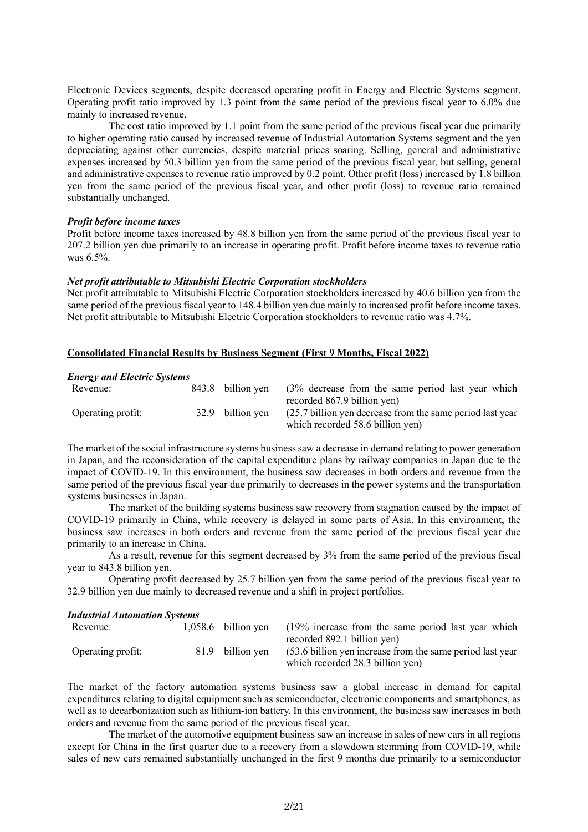Electronic Devices segments, despite decreased operating profit in Energy and Electric Systems segment. Operating profit ratio improved by 1.3 point from the same period of the previous fiscal year to 6.0% due mainly to increased revenue.

The cost ratio improved by 1.1 point from the same period of the previous fiscal year due primarily to higher operating ratio caused by increased revenue of Industrial Automation Systems segment and the yen depreciating against other currencies, despite material prices soaring. Selling, general and administrative expenses increased by 50.3 billion yen from the same period of the previous fiscal year, but selling, general and administrative expenses to revenue ratio improved by 0.2 point. Other profit (loss) increased by 1.8 billion yen from the same period of the previous fiscal year, and other profit (loss) to revenue ratio remained substantially unchanged.

#### *Profit before income taxes*

Profit before income taxes increased by 48.8 billion yen from the same period of the previous fiscal year to 207.2 billion yen due primarily to an increase in operating profit. Profit before income taxes to revenue ratio was 6.5%.

#### *Net profit attributable to Mitsubishi Electric Corporation stockholders*

Net profit attributable to Mitsubishi Electric Corporation stockholders increased by 40.6 billion yen from the same period of the previous fiscal year to 148.4 billion yen due mainly to increased profit before income taxes. Net profit attributable to Mitsubishi Electric Corporation stockholders to revenue ratio was 4.7%.

### **Consolidated Financial Results by Business Segment (First 9 Months, Fiscal 2022)**

#### *Energy and Electric Systems*

| Revenue:          |                  | 843.8 billion yen (3% decrease from the same period last year which<br>recorded 867.9 billion yen) |
|-------------------|------------------|----------------------------------------------------------------------------------------------------|
| Operating profit: | 32.9 billion ven | (25.7 billion yen decrease from the same period last year)<br>which recorded 58.6 billion yen)     |

The market of the social infrastructure systems business saw a decrease in demand relating to power generation in Japan, and the reconsideration of the capital expenditure plans by railway companies in Japan due to the impact of COVID-19. In this environment, the business saw decreases in both orders and revenue from the same period of the previous fiscal year due primarily to decreases in the power systems and the transportation systems businesses in Japan.

The market of the building systems business saw recovery from stagnation caused by the impact of COVID-19 primarily in China, while recovery is delayed in some parts of Asia. In this environment, the business saw increases in both orders and revenue from the same period of the previous fiscal year due primarily to an increase in China.

As a result, revenue for this segment decreased by 3% from the same period of the previous fiscal year to 843.8 billion yen.

Operating profit decreased by 25.7 billion yen from the same period of the previous fiscal year to 32.9 billion yen due mainly to decreased revenue and a shift in project portfolios.

#### *Industrial Automation Systems*

| Revenue:          | $1.058.6$ billion ven | (19% increase from the same period last year which        |
|-------------------|-----------------------|-----------------------------------------------------------|
|                   |                       | recorded 892.1 billion yen)                               |
| Operating profit: | 81.9 billion ven      | (53.6 billion yen increase from the same period last year |
|                   |                       | which recorded 28.3 billion yen)                          |

The market of the factory automation systems business saw a global increase in demand for capital expenditures relating to digital equipment such as semiconductor, electronic components and smartphones, as well as to decarbonization such as lithium-ion battery. In this environment, the business saw increases in both orders and revenue from the same period of the previous fiscal year.

The market of the automotive equipment business saw an increase in sales of new cars in all regions except for China in the first quarter due to a recovery from a slowdown stemming from COVID-19, while sales of new cars remained substantially unchanged in the first 9 months due primarily to a semiconductor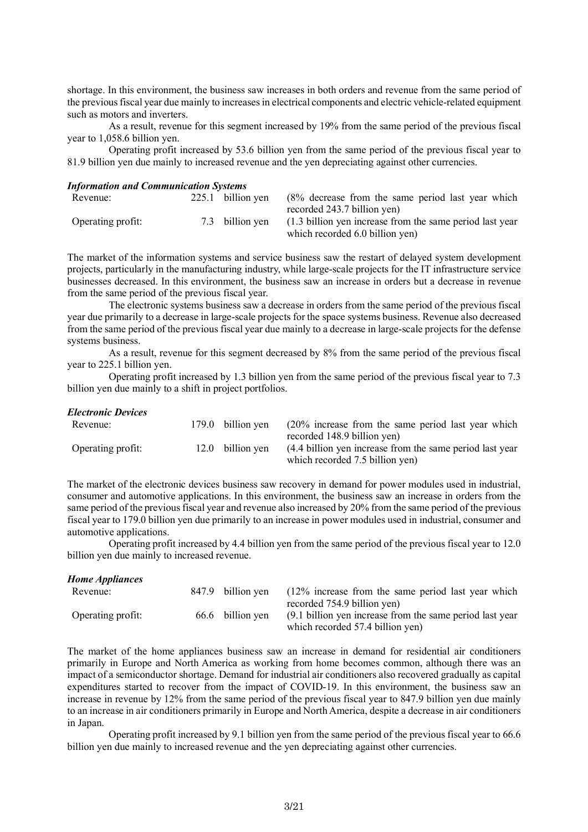shortage. In this environment, the business saw increases in both orders and revenue from the same period of the previous fiscal year due mainly to increases in electrical components and electric vehicle-related equipment such as motors and inverters.

As a result, revenue for this segment increased by 19% from the same period of the previous fiscal year to 1,058.6 billion yen.

Operating profit increased by 53.6 billion yen from the same period of the previous fiscal year to 81.9 billion yen due mainly to increased revenue and the yen depreciating against other currencies.

#### *Information and Communication Systems*

| Revenue:          | 225.1 billion ven | $(8\%$ decrease from the same period last year which     |
|-------------------|-------------------|----------------------------------------------------------|
|                   |                   | recorded 243.7 billion yen)                              |
| Operating profit: | 7.3 billion ven   | (1.3 billion yen increase from the same period last year |
|                   |                   | which recorded 6.0 billion yen)                          |

The market of the information systems and service business saw the restart of delayed system development projects, particularly in the manufacturing industry, while large-scale projects for the IT infrastructure service businesses decreased. In this environment, the business saw an increase in orders but a decrease in revenue from the same period of the previous fiscal year.

The electronic systems business saw a decrease in orders from the same period of the previous fiscal year due primarily to a decrease in large-scale projects for the space systems business. Revenue also decreased from the same period of the previous fiscal year due mainly to a decrease in large-scale projects for the defense systems business.

As a result, revenue for this segment decreased by 8% from the same period of the previous fiscal year to 225.1 billion yen.

Operating profit increased by 1.3 billion yen from the same period of the previous fiscal year to 7.3 billion yen due mainly to a shift in project portfolios.

### *Electronic Devices*

| Revenue:          | 179.0 billion yen | $(20\%$ increase from the same period last year which     |
|-------------------|-------------------|-----------------------------------------------------------|
|                   |                   | recorded 148.9 billion yen)                               |
| Operating profit: | 12.0 billion ven  | (4.4 billion yen increase from the same period last year) |
|                   |                   | which recorded 7.5 billion yen)                           |

The market of the electronic devices business saw recovery in demand for power modules used in industrial, consumer and automotive applications. In this environment, the business saw an increase in orders from the same period of the previous fiscal year and revenue also increased by 20% from the same period of the previous fiscal year to 179.0 billion yen due primarily to an increase in power modules used in industrial, consumer and automotive applications.

Operating profit increased by 4.4 billion yen from the same period of the previous fiscal year to 12.0 billion yen due mainly to increased revenue.

| <b>Home Appliances</b> |       |                  |                                                           |
|------------------------|-------|------------------|-----------------------------------------------------------|
| Revenue:               | 847.9 | billion ven      | $(12\%$ increase from the same period last year which     |
|                        |       |                  | recorded 754.9 billion yen)                               |
| Operating profit:      |       | 66.6 billion yen | (9.1 billion yen increase from the same period last year) |
|                        |       |                  | which recorded 57.4 billion yen)                          |

The market of the home appliances business saw an increase in demand for residential air conditioners primarily in Europe and North America as working from home becomes common, although there was an impact of a semiconductor shortage. Demand for industrial air conditioners also recovered gradually as capital expenditures started to recover from the impact of COVID-19. In this environment, the business saw an increase in revenue by 12% from the same period of the previous fiscal year to 847.9 billion yen due mainly to an increase in air conditioners primarily in Europe and North America, despite a decrease in air conditioners in Japan.

Operating profit increased by 9.1 billion yen from the same period of the previous fiscal year to 66.6 billion yen due mainly to increased revenue and the yen depreciating against other currencies.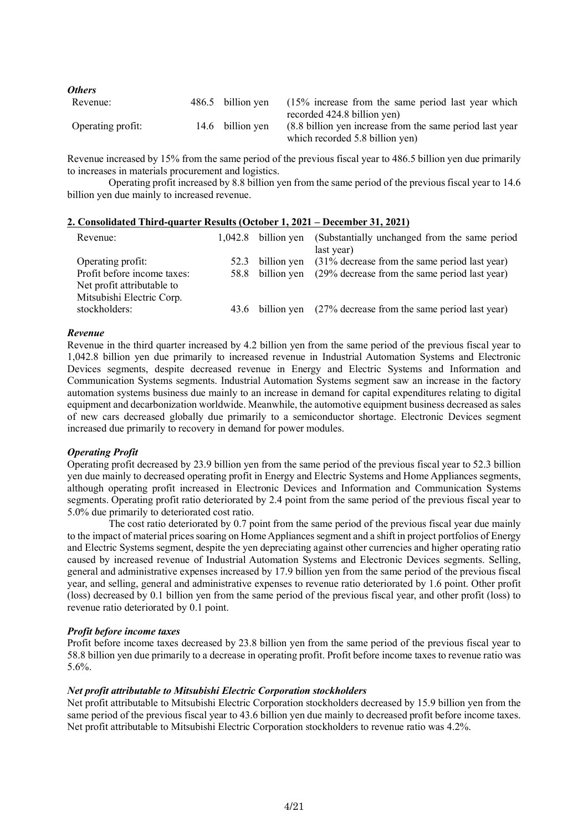| <b>Others</b>     |                   |                                                                                              |
|-------------------|-------------------|----------------------------------------------------------------------------------------------|
| Revenue:          | 486.5 billion yen | $(15\%$ increase from the same period last year which<br>recorded 424.8 billion yen)         |
| Operating profit: | 14.6 billion yen  | (8.8 billion yen increase from the same period last year)<br>which recorded 5.8 billion yen) |

Revenue increased by 15% from the same period of the previous fiscal year to 486.5 billion yen due primarily to increases in materials procurement and logistics.

Operating profit increased by 8.8 billion yen from the same period of the previous fiscal year to 14.6 billion yen due mainly to increased revenue.

### **2. Consolidated Third-quarter Results (October 1, 2021 – December 31, 2021)**

| Revenue:                    |      | $1,042.8$ billion yen | (Substantially unchanged from the same period)                 |
|-----------------------------|------|-----------------------|----------------------------------------------------------------|
|                             |      |                       | last year)                                                     |
| Operating profit:           | 52.3 |                       | billion yen (31% decrease from the same period last year)      |
| Profit before income taxes: | 58.8 | billion ven           | (29% decrease from the same period last year)                  |
| Net profit attributable to  |      |                       |                                                                |
| Mitsubishi Electric Corp.   |      |                       |                                                                |
| stockholders:               |      |                       | 43.6 billion yen (27% decrease from the same period last year) |
|                             |      |                       |                                                                |

#### *Revenue*

Revenue in the third quarter increased by 4.2 billion yen from the same period of the previous fiscal year to 1,042.8 billion yen due primarily to increased revenue in Industrial Automation Systems and Electronic Devices segments, despite decreased revenue in Energy and Electric Systems and Information and Communication Systems segments. Industrial Automation Systems segment saw an increase in the factory automation systems business due mainly to an increase in demand for capital expenditures relating to digital equipment and decarbonization worldwide. Meanwhile, the automotive equipment business decreased as sales of new cars decreased globally due primarily to a semiconductor shortage. Electronic Devices segment increased due primarily to recovery in demand for power modules.

### *Operating Profit*

Operating profit decreased by 23.9 billion yen from the same period of the previous fiscal year to 52.3 billion yen due mainly to decreased operating profit in Energy and Electric Systems and Home Appliances segments, although operating profit increased in Electronic Devices and Information and Communication Systems segments. Operating profit ratio deteriorated by 2.4 point from the same period of the previous fiscal year to 5.0% due primarily to deteriorated cost ratio.

The cost ratio deteriorated by 0.7 point from the same period of the previous fiscal year due mainly to the impact of material prices soaring on Home Appliances segment and a shift in project portfolios of Energy and Electric Systems segment, despite the yen depreciating against other currencies and higher operating ratio caused by increased revenue of Industrial Automation Systems and Electronic Devices segments. Selling, general and administrative expenses increased by 17.9 billion yen from the same period of the previous fiscal year, and selling, general and administrative expenses to revenue ratio deteriorated by 1.6 point. Other profit (loss) decreased by 0.1 billion yen from the same period of the previous fiscal year, and other profit (loss) to revenue ratio deteriorated by 0.1 point.

#### *Profit before income taxes*

Profit before income taxes decreased by 23.8 billion yen from the same period of the previous fiscal year to 58.8 billion yen due primarily to a decrease in operating profit. Profit before income taxes to revenue ratio was 5.6%.

### *Net profit attributable to Mitsubishi Electric Corporation stockholders*

Net profit attributable to Mitsubishi Electric Corporation stockholders decreased by 15.9 billion yen from the same period of the previous fiscal year to 43.6 billion yen due mainly to decreased profit before income taxes. Net profit attributable to Mitsubishi Electric Corporation stockholders to revenue ratio was 4.2%.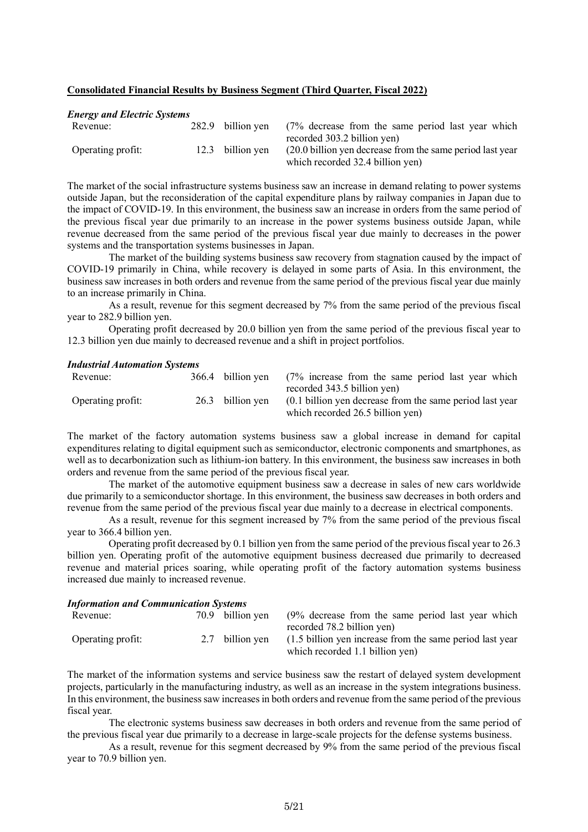#### **Consolidated Financial Results by Business Segment (Third Quarter, Fiscal 2022)**

#### *Energy and Electric Systems*

| Revenue:          | 282.9 billion ven | (7% decrease from the same period last year which                                                                             |
|-------------------|-------------------|-------------------------------------------------------------------------------------------------------------------------------|
| Operating profit: | 12.3 billion ven  | recorded 303.2 billion yen)<br>(20.0 billion yen decrease from the same period last year)<br>which recorded 32.4 billion yen) |
|                   |                   |                                                                                                                               |

The market of the social infrastructure systems business saw an increase in demand relating to power systems outside Japan, but the reconsideration of the capital expenditure plans by railway companies in Japan due to the impact of COVID-19. In this environment, the business saw an increase in orders from the same period of the previous fiscal year due primarily to an increase in the power systems business outside Japan, while revenue decreased from the same period of the previous fiscal year due mainly to decreases in the power systems and the transportation systems businesses in Japan.

The market of the building systems business saw recovery from stagnation caused by the impact of COVID-19 primarily in China, while recovery is delayed in some parts of Asia. In this environment, the business saw increases in both orders and revenue from the same period of the previous fiscal year due mainly to an increase primarily in China.

As a result, revenue for this segment decreased by 7% from the same period of the previous fiscal year to 282.9 billion yen.

Operating profit decreased by 20.0 billion yen from the same period of the previous fiscal year to 12.3 billion yen due mainly to decreased revenue and a shift in project portfolios.

### *Industrial Automation Systems*

| Revenue:          | 366.4 billion yen | $(7\%$ increase from the same period last year which     |
|-------------------|-------------------|----------------------------------------------------------|
|                   |                   | recorded 343.5 billion yen)                              |
| Operating profit: | 26.3 billion yen  | (0.1 billion yen decrease from the same period last year |
|                   |                   | which recorded 26.5 billion yen)                         |

The market of the factory automation systems business saw a global increase in demand for capital expenditures relating to digital equipment such as semiconductor, electronic components and smartphones, as well as to decarbonization such as lithium-ion battery. In this environment, the business saw increases in both orders and revenue from the same period of the previous fiscal year.

The market of the automotive equipment business saw a decrease in sales of new cars worldwide due primarily to a semiconductor shortage. In this environment, the business saw decreases in both orders and revenue from the same period of the previous fiscal year due mainly to a decrease in electrical components.

As a result, revenue for this segment increased by 7% from the same period of the previous fiscal year to 366.4 billion yen.

Operating profit decreased by 0.1 billion yen from the same period of the previous fiscal year to 26.3 billion yen. Operating profit of the automotive equipment business decreased due primarily to decreased revenue and material prices soaring, while operating profit of the factory automation systems business increased due mainly to increased revenue.

#### *Information and Communication Systems*

| Revenue:          | 70.9 billion ven | (9% decrease from the same period last year which<br>recorded 78.2 billion yen)             |
|-------------------|------------------|---------------------------------------------------------------------------------------------|
| Operating profit: | 2.7 billion ven  | (1.5 billion yen increase from the same period last year<br>which recorded 1.1 billion yen) |

The market of the information systems and service business saw the restart of delayed system development projects, particularly in the manufacturing industry, as well as an increase in the system integrations business. In this environment, the business saw increases in both orders and revenue from the same period of the previous fiscal year.

The electronic systems business saw decreases in both orders and revenue from the same period of the previous fiscal year due primarily to a decrease in large-scale projects for the defense systems business.

As a result, revenue for this segment decreased by 9% from the same period of the previous fiscal year to 70.9 billion yen.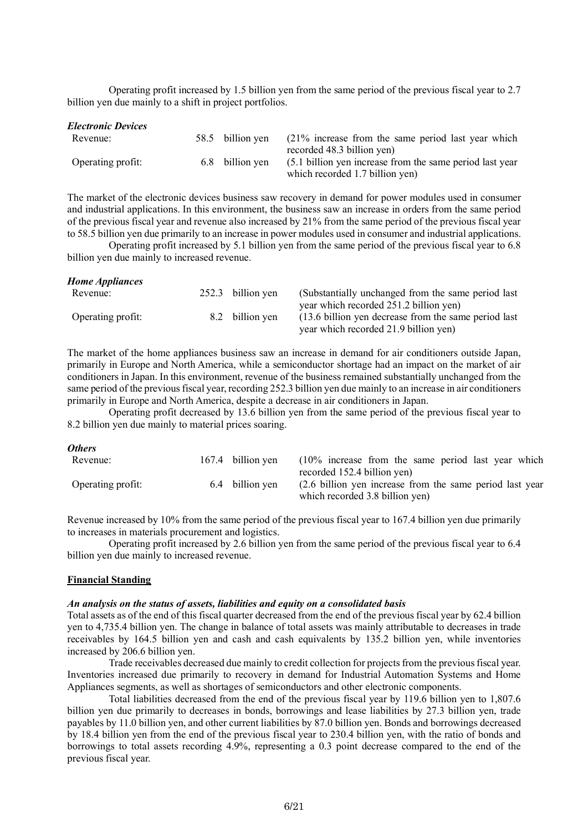Operating profit increased by 1.5 billion yen from the same period of the previous fiscal year to 2.7 billion yen due mainly to a shift in project portfolios.

| <b>Electronic Devices</b> |                  |                                                           |
|---------------------------|------------------|-----------------------------------------------------------|
| Revenue:                  | 58.5 billion yen | $(21\%$ increase from the same period last year which     |
|                           |                  | recorded 48.3 billion yen)                                |
| Operating profit:         | 6.8 billion yen  | (5.1 billion yen increase from the same period last year) |
|                           |                  | which recorded 1.7 billion yen)                           |

The market of the electronic devices business saw recovery in demand for power modules used in consumer and industrial applications. In this environment, the business saw an increase in orders from the same period of the previous fiscal year and revenue also increased by 21% from the same period of the previous fiscal year to 58.5 billion yen due primarily to an increase in power modules used in consumer and industrial applications.

Operating profit increased by 5.1 billion yen from the same period of the previous fiscal year to 6.8 billion yen due mainly to increased revenue.

| <b>Home Appliances</b> |       |                 |                                                       |
|------------------------|-------|-----------------|-------------------------------------------------------|
| Revenue:               | 252.3 | billion yen     | (Substantially unchanged from the same period last)   |
|                        |       |                 | year which recorded 251.2 billion yen)                |
| Operating profit:      |       | 8.2 billion yen | (13.6 billion yen decrease from the same period last) |
|                        |       |                 | year which recorded 21.9 billion yen)                 |

The market of the home appliances business saw an increase in demand for air conditioners outside Japan, primarily in Europe and North America, while a semiconductor shortage had an impact on the market of air conditioners in Japan. In this environment, revenue of the business remained substantially unchanged from the same period of the previous fiscal year, recording 252.3 billion yen due mainly to an increase in air conditioners primarily in Europe and North America, despite a decrease in air conditioners in Japan.

Operating profit decreased by 13.6 billion yen from the same period of the previous fiscal year to 8.2 billion yen due mainly to material prices soaring.

| <b>Others</b>     |                   |                                                          |
|-------------------|-------------------|----------------------------------------------------------|
| Revenue:          | 167.4 billion yen | $(10\%$ increase from the same period last year which    |
|                   |                   | recorded 152.4 billion yen)                              |
| Operating profit: | 6.4 billion ven   | (2.6 billion yen increase from the same period last year |
|                   |                   | which recorded 3.8 billion yen)                          |

Revenue increased by 10% from the same period of the previous fiscal year to 167.4 billion yen due primarily to increases in materials procurement and logistics.

Operating profit increased by 2.6 billion yen from the same period of the previous fiscal year to 6.4 billion yen due mainly to increased revenue.

### **Financial Standing**

#### *An analysis on the status of assets, liabilities and equity on a consolidated basis*

Total assets as of the end of this fiscal quarter decreased from the end of the previous fiscal year by 62.4 billion yen to 4,735.4 billion yen. The change in balance of total assets was mainly attributable to decreases in trade receivables by 164.5 billion yen and cash and cash equivalents by 135.2 billion yen, while inventories increased by 206.6 billion yen.

Trade receivables decreased due mainly to credit collection for projects from the previous fiscal year. Inventories increased due primarily to recovery in demand for Industrial Automation Systems and Home Appliances segments, as well as shortages of semiconductors and other electronic components.

Total liabilities decreased from the end of the previous fiscal year by 119.6 billion yen to 1,807.6 billion yen due primarily to decreases in bonds, borrowings and lease liabilities by 27.3 billion yen, trade payables by 11.0 billion yen, and other current liabilities by 87.0 billion yen. Bonds and borrowings decreased by 18.4 billion yen from the end of the previous fiscal year to 230.4 billion yen, with the ratio of bonds and borrowings to total assets recording 4.9%, representing a 0.3 point decrease compared to the end of the previous fiscal year.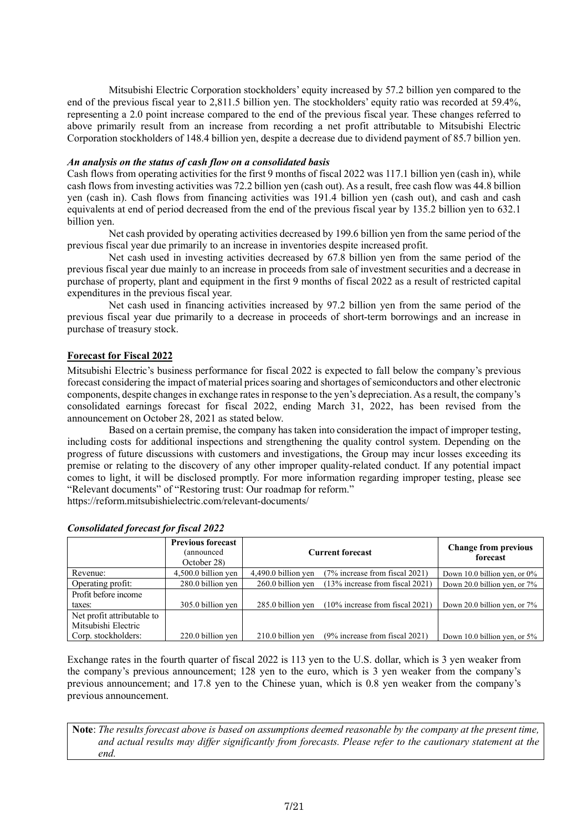Mitsubishi Electric Corporation stockholders' equity increased by 57.2 billion yen compared to the end of the previous fiscal year to 2,811.5 billion yen. The stockholders' equity ratio was recorded at 59.4%, representing a 2.0 point increase compared to the end of the previous fiscal year. These changes referred to above primarily result from an increase from recording a net profit attributable to Mitsubishi Electric Corporation stockholders of 148.4 billion yen, despite a decrease due to dividend payment of 85.7 billion yen.

### *An analysis on the status of cash flow on a consolidated basis*

Cash flows from operating activities for the first 9 months of fiscal 2022 was 117.1 billion yen (cash in), while cash flows from investing activities was 72.2 billion yen (cash out). As a result, free cash flow was 44.8 billion yen (cash in). Cash flows from financing activities was 191.4 billion yen (cash out), and cash and cash equivalents at end of period decreased from the end of the previous fiscal year by 135.2 billion yen to 632.1 billion yen.

Net cash provided by operating activities decreased by 199.6 billion yen from the same period of the previous fiscal year due primarily to an increase in inventories despite increased profit.

Net cash used in investing activities decreased by 67.8 billion yen from the same period of the previous fiscal year due mainly to an increase in proceeds from sale of investment securities and a decrease in purchase of property, plant and equipment in the first 9 months of fiscal 2022 as a result of restricted capital expenditures in the previous fiscal year.

Net cash used in financing activities increased by 97.2 billion yen from the same period of the previous fiscal year due primarily to a decrease in proceeds of short-term borrowings and an increase in purchase of treasury stock.

### **Forecast for Fiscal 2022**

Mitsubishi Electric's business performance for fiscal 2022 is expected to fall below the company's previous forecast considering the impact of material prices soaring and shortages of semiconductors and other electronic components, despite changes in exchange rates in response to the yen's depreciation. As a result, the company's consolidated earnings forecast for fiscal 2022, ending March 31, 2022, has been revised from the announcement on October 28, 2021 as stated below.

Based on a certain premise, the company has taken into consideration the impact of improper testing, including costs for additional inspections and strengthening the quality control system. Depending on the progress of future discussions with customers and investigations, the Group may incur losses exceeding its premise or relating to the discovery of any other improper quality-related conduct. If any potential impact comes to light, it will be disclosed promptly. For more information regarding improper testing, please see "Relevant documents" of "Restoring trust: Our roadmap for reform."

https://reform.mitsubishielectric.com/relevant-documents/

|                                                   | <b>Previous forecast</b><br>(announced<br>October 28) | <b>Current forecast</b> | <b>Change from previous</b><br>forecast |                                 |
|---------------------------------------------------|-------------------------------------------------------|-------------------------|-----------------------------------------|---------------------------------|
| Revenue:                                          | $4,500.0$ billion yen                                 | $4,490.0$ billion yen   | (7% increase from fiscal 2021)          | Down 10.0 billion yen, or $0\%$ |
| Operating profit:                                 | 280.0 billion yen                                     | 260.0 billion yen       | $(13\%$ increase from fiscal 2021)      | Down 20.0 billion yen, or 7%    |
| Profit before income                              |                                                       |                         |                                         |                                 |
| taxes:                                            | 305.0 billion yen                                     | 285.0 billion yen       | $(10\%$ increase from fiscal 2021)      | Down 20.0 billion yen, or 7%    |
| Net profit attributable to<br>Mitsubishi Electric |                                                       |                         |                                         |                                 |
| Corp. stockholders:                               | 220.0 billion yen                                     | 210.0 billion yen       | $(9\%$ increase from fiscal 2021)       | Down 10.0 billion yen, or 5%    |

#### *Consolidated forecast for fiscal 2022*

Exchange rates in the fourth quarter of fiscal 2022 is 113 yen to the U.S. dollar, which is 3 yen weaker from the company's previous announcement; 128 yen to the euro, which is 3 yen weaker from the company's previous announcement; and 17.8 yen to the Chinese yuan, which is 0.8 yen weaker from the company's previous announcement.

**Note**: *The results forecast above is based on assumptions deemed reasonable by the company at the present time, and actual results may differ significantly from forecasts. Please refer to the cautionary statement at the end.*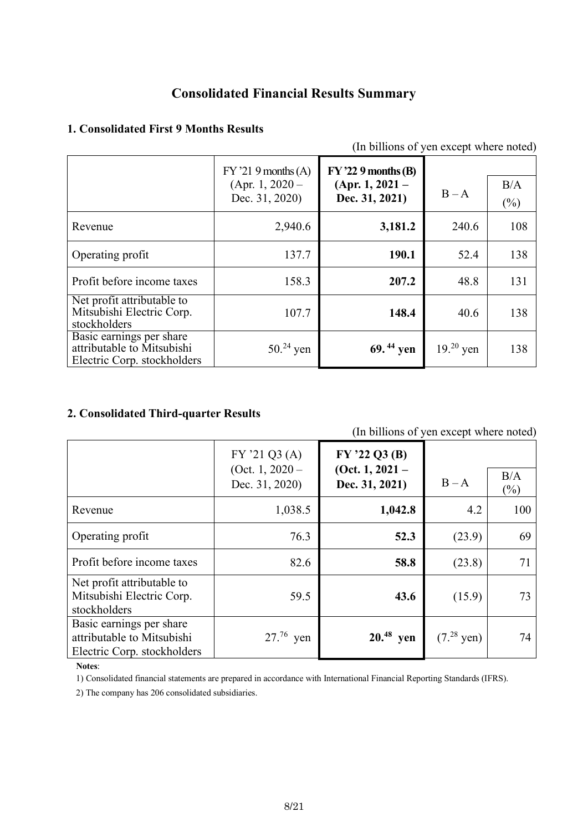## **Consolidated Financial Results Summary**

## **1. Consolidated First 9 Months Results**

| (In billions of yen except where noted)                                               |                                                              |                                                              |            |               |  |  |
|---------------------------------------------------------------------------------------|--------------------------------------------------------------|--------------------------------------------------------------|------------|---------------|--|--|
|                                                                                       | $FY'219$ months $(A)$<br>(Apr. 1, $2020 -$<br>Dec. 31, 2020) | $FY$ '22 9 months (B)<br>$(Apr. 1, 2021 -$<br>Dec. 31, 2021) | $B - A$    | B/A<br>$(\%)$ |  |  |
| Revenue                                                                               | 2,940.6                                                      | 3,181.2                                                      | 240.6      | 108           |  |  |
| Operating profit                                                                      | 137.7                                                        | 190.1                                                        | 52.4       | 138           |  |  |
| Profit before income taxes                                                            | 158.3                                                        | 207.2                                                        | 48.8       | 131           |  |  |
| Net profit attributable to<br>Mitsubishi Electric Corp.<br>stockholders               | 107.7                                                        | 148.4                                                        | 40.6       | 138           |  |  |
| Basic earnings per share<br>attributable to Mitsubishi<br>Electric Corp. stockholders | $50^{24}$ yen                                                | 69. $44$ yen                                                 | $1920$ yen | 138           |  |  |

### **2. Consolidated Third-quarter Results**

| (In billions of yen except where noted)                                               |                                 |                                      |                 |               |  |  |
|---------------------------------------------------------------------------------------|---------------------------------|--------------------------------------|-----------------|---------------|--|--|
|                                                                                       | FY'21Q3(A)<br>(Oct. 1, $2020 -$ | $FY$ '22 Q3 (B)<br>(Oct. 1, $2021 -$ |                 |               |  |  |
|                                                                                       | Dec. 31, 2020)                  | Dec. 31, 2021)                       | $B - A$         | B/A<br>$(\%)$ |  |  |
| Revenue                                                                               | 1,038.5                         | 1,042.8                              | 4.2             | 100           |  |  |
| Operating profit                                                                      | 76.3                            | 52.3                                 | (23.9)          | 69            |  |  |
| Profit before income taxes                                                            | 82.6                            | 58.8                                 | (23.8)          | 71            |  |  |
| Net profit attributable to<br>Mitsubishi Electric Corp.<br>stockholders               | 59.5                            | 43.6                                 | (15.9)          | 73            |  |  |
| Basic earnings per share<br>attributable to Mitsubishi<br>Electric Corp. stockholders | $27.^{76}$ yen                  | $20.^{48}$ yen                       | $(7.^{28}$ yen) | 74            |  |  |

### **Notes**:

1) Consolidated financial statements are prepared in accordance with International Financial Reporting Standards (IFRS).

2) The company has 206 consolidated subsidiaries.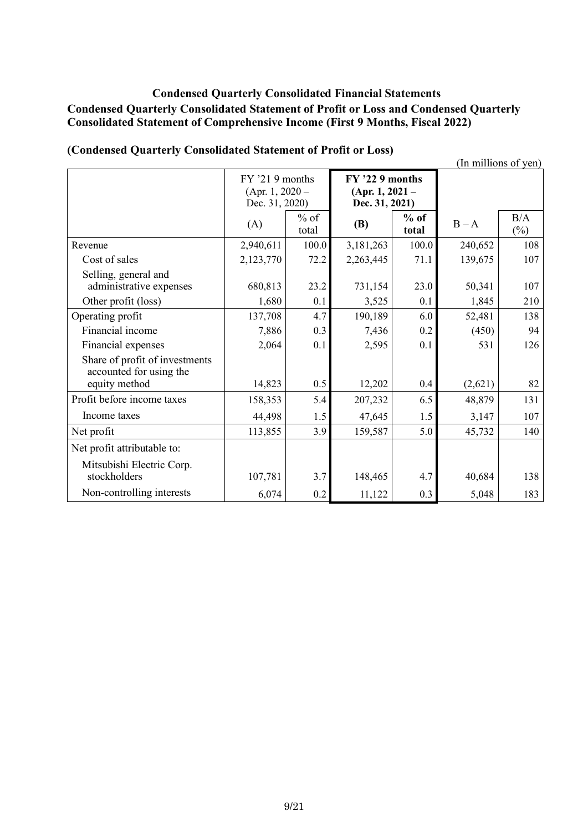### **Condensed Quarterly Consolidated Financial Statements Condensed Quarterly Consolidated Statement of Profit or Loss and Condensed Quarterly Consolidated Statement of Comprehensive Income (First 9 Months, Fiscal 2022)**

|                                                                            |                                                          |                 |                                                        |                 |         | (In millions of yen) |
|----------------------------------------------------------------------------|----------------------------------------------------------|-----------------|--------------------------------------------------------|-----------------|---------|----------------------|
|                                                                            | $FY$ '21 9 months<br>(Apr. 1, 2020 $-$<br>Dec. 31, 2020) |                 | FY '22 9 months<br>$(Apr. 1, 2021 -$<br>Dec. 31, 2021) |                 |         |                      |
|                                                                            | (A)                                                      | $%$ of<br>total | <b>(B)</b>                                             | $%$ of<br>total | $B - A$ | B/A<br>$(\%)$        |
| Revenue                                                                    | 2,940,611                                                | 100.0           | 3,181,263                                              | 100.0           | 240,652 | 108                  |
| Cost of sales                                                              | 2,123,770                                                | 72.2            | 2,263,445                                              | 71.1            | 139,675 | 107                  |
| Selling, general and<br>administrative expenses                            | 680,813                                                  | 23.2            | 731,154                                                | 23.0            | 50,341  | 107                  |
| Other profit (loss)                                                        | 1,680                                                    | 0.1             | 3,525                                                  | 0.1             | 1,845   | 210                  |
| Operating profit                                                           | 137,708                                                  | 4.7             | 190,189                                                | 6.0             | 52,481  | 138                  |
| Financial income                                                           | 7,886                                                    | 0.3             | 7,436                                                  | 0.2             | (450)   | 94                   |
| Financial expenses                                                         | 2,064                                                    | 0.1             | 2,595                                                  | 0.1             | 531     | 126                  |
| Share of profit of investments<br>accounted for using the<br>equity method | 14,823                                                   | 0.5             | 12,202                                                 | 0.4             | (2,621) | 82                   |
| Profit before income taxes                                                 | 158,353                                                  | 5.4             | 207,232                                                | 6.5             | 48,879  | 131                  |
| Income taxes                                                               | 44,498                                                   | 1.5             | 47,645                                                 | 1.5             | 3,147   | 107                  |
| Net profit                                                                 | 113,855                                                  | 3.9             | 159,587                                                | 5.0             | 45,732  | 140                  |
| Net profit attributable to:                                                |                                                          |                 |                                                        |                 |         |                      |
| Mitsubishi Electric Corp.<br>stockholders                                  | 107,781                                                  | 3.7             | 148,465                                                | 4.7             | 40,684  | 138                  |
| Non-controlling interests                                                  | 6,074                                                    | 0.2             | 11,122                                                 | 0.3             | 5,048   | 183                  |

### **(Condensed Quarterly Consolidated Statement of Profit or Loss)**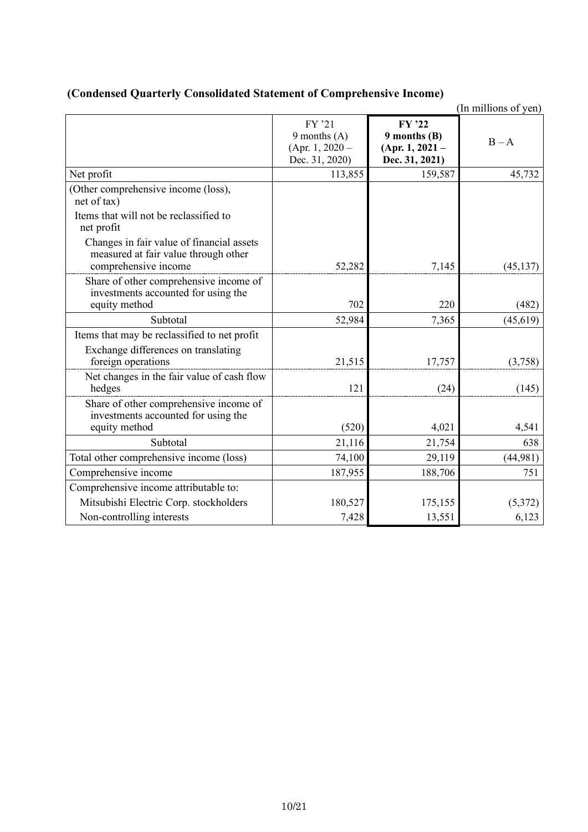|                                                                                                                         |                                                                 |                                                                   | (In millions of yen) |
|-------------------------------------------------------------------------------------------------------------------------|-----------------------------------------------------------------|-------------------------------------------------------------------|----------------------|
|                                                                                                                         | FY '21<br>9 months $(A)$<br>(Apr. 1, 2020 $-$<br>Dec. 31, 2020) | FY '22<br>$9$ months $(B)$<br>$(Apr. 1, 2021 -$<br>Dec. 31, 2021) | $B - A$              |
| Net profit                                                                                                              | 113,855                                                         | 159,587                                                           | 45,732               |
| (Other comprehensive income (loss),<br>net of tax)<br>Items that will not be reclassified to                            |                                                                 |                                                                   |                      |
| net profit<br>Changes in fair value of financial assets<br>measured at fair value through other<br>comprehensive income | 52,282                                                          | 7,145                                                             | (45, 137)            |
| Share of other comprehensive income of<br>investments accounted for using the<br>equity method                          | 702                                                             | 220                                                               | (482)                |
| Subtotal                                                                                                                | 52,984                                                          | 7,365                                                             | (45, 619)            |
| Items that may be reclassified to net profit                                                                            |                                                                 |                                                                   |                      |
| Exchange differences on translating<br>foreign operations                                                               | 21,515                                                          | 17,757                                                            | (3,758)              |
| Net changes in the fair value of cash flow<br>hedges                                                                    | 121                                                             | (24)                                                              | (145)                |
| Share of other comprehensive income of<br>investments accounted for using the<br>equity method                          | (520)                                                           | 4,021                                                             | 4,541                |
| Subtotal                                                                                                                | 21,116                                                          | 21,754                                                            | 638                  |
| Total other comprehensive income (loss)                                                                                 | 74,100                                                          | 29,119                                                            | (44,981)             |
| Comprehensive income                                                                                                    | 187,955                                                         | 188,706                                                           | 751                  |
| Comprehensive income attributable to:                                                                                   |                                                                 |                                                                   |                      |
| Mitsubishi Electric Corp. stockholders                                                                                  | 180,527                                                         | 175,155                                                           | (5,372)              |
| Non-controlling interests                                                                                               | 7,428                                                           | 13,551                                                            | 6,123                |

### **(Condensed Quarterly Consolidated Statement of Comprehensive Income)**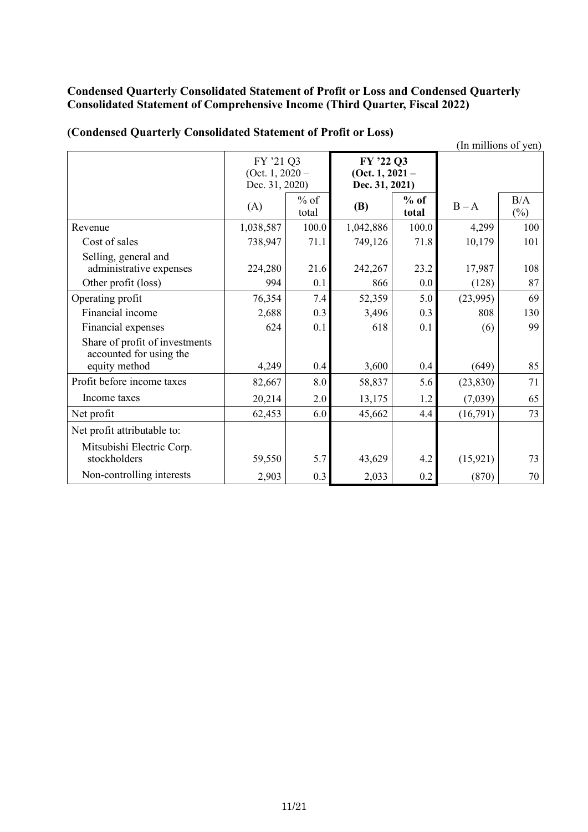### **Condensed Quarterly Consolidated Statement of Profit or Loss and Condensed Quarterly Consolidated Statement of Comprehensive Income (Third Quarter, Fiscal 2022)**

|                                                                            |                                                  |                 |                                                |                 |           | (In millions of yen) |
|----------------------------------------------------------------------------|--------------------------------------------------|-----------------|------------------------------------------------|-----------------|-----------|----------------------|
|                                                                            | FY '21 Q3<br>(Oct. 1, $2020 -$<br>Dec. 31, 2020) |                 | FY '22 Q3<br>(Oct. 1, 2021 –<br>Dec. 31, 2021) |                 |           |                      |
|                                                                            | (A)                                              | $%$ of<br>total | <b>(B)</b>                                     | $%$ of<br>total | $B - A$   | B/A<br>$(\%)$        |
| Revenue                                                                    | 1,038,587                                        | 100.0           | 1,042,886                                      | 100.0           | 4,299     | 100                  |
| Cost of sales                                                              | 738,947                                          | 71.1            | 749,126                                        | 71.8            | 10,179    | 101                  |
| Selling, general and<br>administrative expenses                            | 224,280                                          | 21.6            | 242,267                                        | 23.2            | 17,987    | 108                  |
| Other profit (loss)                                                        | 994                                              | 0.1             | 866                                            | 0.0             | (128)     | 87                   |
| Operating profit                                                           | 76,354                                           | 7.4             | 52,359                                         | 5.0             | (23,995)  | 69                   |
| Financial income                                                           | 2,688                                            | 0.3             | 3,496                                          | 0.3             | 808       | 130                  |
| Financial expenses                                                         | 624                                              | 0.1             | 618                                            | 0.1             | (6)       | 99                   |
| Share of profit of investments<br>accounted for using the<br>equity method | 4,249                                            | 0.4             | 3,600                                          | 0.4             | (649)     | 85                   |
| Profit before income taxes                                                 |                                                  |                 |                                                |                 |           | 71                   |
|                                                                            | 82,667                                           | 8.0             | 58,837                                         | 5.6             | (23, 830) |                      |
| Income taxes                                                               | 20,214                                           | 2.0             | 13,175                                         | 1.2             | (7,039)   | 65                   |
| Net profit                                                                 | 62,453                                           | 6.0             | 45,662                                         | 4.4             | (16,791)  | 73                   |
| Net profit attributable to:                                                |                                                  |                 |                                                |                 |           |                      |
| Mitsubishi Electric Corp.<br>stockholders                                  | 59,550                                           | 5.7             | 43,629                                         | 4.2             | (15, 921) | 73                   |
| Non-controlling interests                                                  | 2,903                                            | 0.3             | 2,033                                          | 0.2             | (870)     | 70                   |

### **(Condensed Quarterly Consolidated Statement of Profit or Loss)**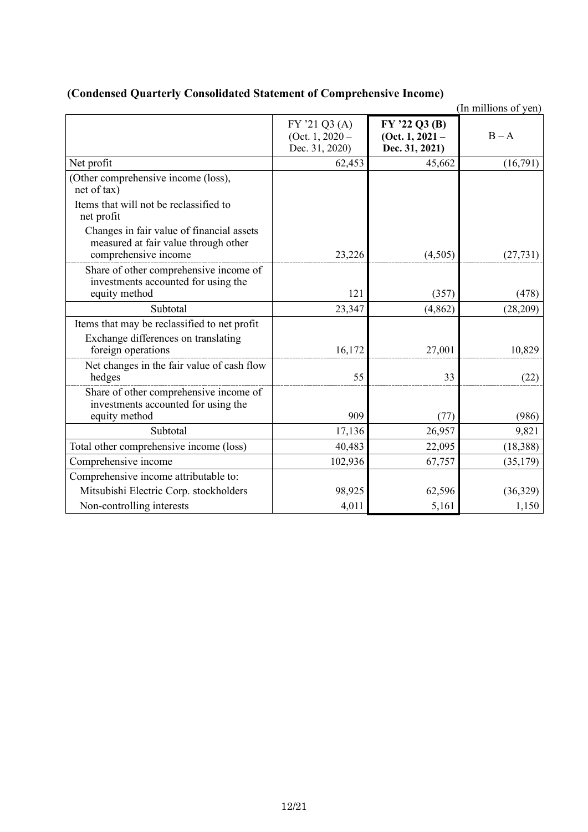|                                                                                                           |                                                    |                                                    | (In millions of yen) |
|-----------------------------------------------------------------------------------------------------------|----------------------------------------------------|----------------------------------------------------|----------------------|
|                                                                                                           | FY '21 Q3 (A)<br>(Oct. $1,2020-$<br>Dec. 31, 2020) | FY '22 Q3 (B)<br>(Oct. 1, 2021 –<br>Dec. 31, 2021) | $B - A$              |
| Net profit                                                                                                | 62,453                                             | 45,662                                             | (16,791)             |
| (Other comprehensive income (loss),<br>net of tax)                                                        |                                                    |                                                    |                      |
| Items that will not be reclassified to<br>net profit                                                      |                                                    |                                                    |                      |
| Changes in fair value of financial assets<br>measured at fair value through other<br>comprehensive income | 23,226                                             | (4,505)                                            | (27, 731)            |
| Share of other comprehensive income of<br>investments accounted for using the<br>equity method            | 121                                                | (357)                                              | (478)                |
| Subtotal                                                                                                  | 23,347                                             | (4, 862)                                           | (28, 209)            |
| Items that may be reclassified to net profit<br>Exchange differences on translating<br>foreign operations | 16,172                                             | 27,001                                             | 10,829               |
| Net changes in the fair value of cash flow<br>hedges                                                      | 55                                                 | 33                                                 | (22)                 |
| Share of other comprehensive income of<br>investments accounted for using the<br>equity method            | 909                                                | (77)                                               | (986)                |
| Subtotal                                                                                                  | 17,136                                             | 26,957                                             | 9,821                |
| Total other comprehensive income (loss)                                                                   | 40,483                                             | 22,095                                             | (18, 388)            |
| Comprehensive income                                                                                      | 102,936                                            | 67,757                                             | (35, 179)            |
| Comprehensive income attributable to:                                                                     |                                                    |                                                    |                      |
| Mitsubishi Electric Corp. stockholders                                                                    | 98,925                                             | 62,596                                             | (36,329)             |
| Non-controlling interests                                                                                 | 4,011                                              | 5,161                                              | 1,150                |

### **(Condensed Quarterly Consolidated Statement of Comprehensive Income)**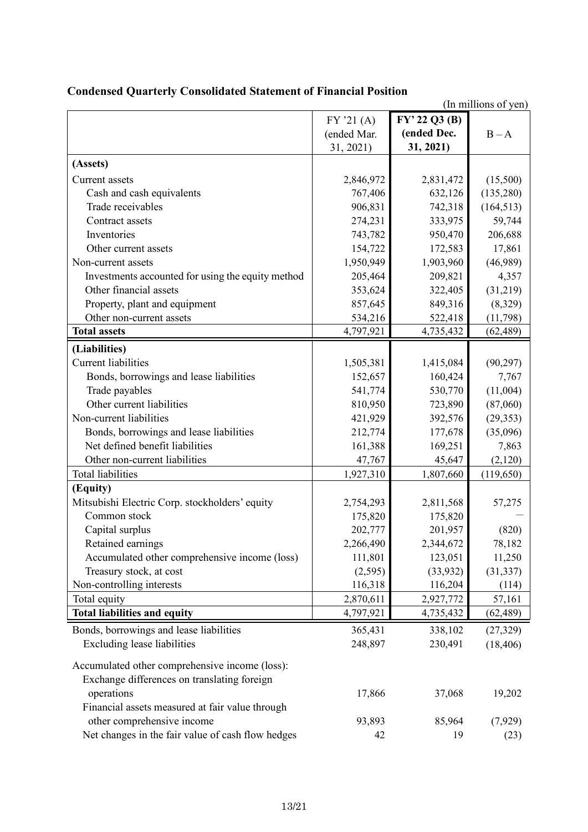|                                                   |             |               | (In millions of yen) |
|---------------------------------------------------|-------------|---------------|----------------------|
|                                                   | FY'21(A)    | FY' 22 Q3 (B) |                      |
|                                                   | (ended Mar. | (ended Dec.   | $B - A$              |
|                                                   | 31, 2021)   | 31, 2021)     |                      |
| (Assets)                                          |             |               |                      |
| Current assets                                    | 2,846,972   | 2,831,472     | (15,500)             |
| Cash and cash equivalents                         | 767,406     | 632,126       | (135,280)            |
| Trade receivables                                 | 906,831     | 742,318       | (164, 513)           |
| Contract assets                                   | 274,231     | 333,975       | 59,744               |
| Inventories                                       | 743,782     | 950,470       | 206,688              |
| Other current assets                              | 154,722     | 172,583       | 17,861               |
| Non-current assets                                | 1,950,949   | 1,903,960     | (46,989)             |
| Investments accounted for using the equity method | 205,464     | 209,821       | 4,357                |
| Other financial assets                            | 353,624     | 322,405       | (31,219)             |
| Property, plant and equipment                     | 857,645     | 849,316       | (8,329)              |
| Other non-current assets                          | 534,216     | 522,418       | (11, 798)            |
| <b>Total assets</b>                               | 4,797,921   | 4,735,432     | (62, 489)            |
| (Liabilities)                                     |             |               |                      |
| <b>Current liabilities</b>                        | 1,505,381   | 1,415,084     | (90, 297)            |
| Bonds, borrowings and lease liabilities           | 152,657     | 160,424       | 7,767                |
| Trade payables                                    | 541,774     | 530,770       | (11,004)             |
| Other current liabilities                         | 810,950     | 723,890       | (87,060)             |
| Non-current liabilities                           | 421,929     | 392,576       | (29, 353)            |
| Bonds, borrowings and lease liabilities           | 212,774     | 177,678       | (35,096)             |
| Net defined benefit liabilities                   | 161,388     | 169,251       | 7,863                |
| Other non-current liabilities                     | 47,767      | 45,647        | (2,120)              |
| <b>Total liabilities</b>                          | 1,927,310   | 1,807,660     | (119, 650)           |
| (Equity)                                          |             |               |                      |
| Mitsubishi Electric Corp. stockholders' equity    | 2,754,293   | 2,811,568     | 57,275               |
| Common stock                                      | 175,820     | 175,820       |                      |
| Capital surplus                                   | 202,777     | 201,957       | (820)                |
| Retained earnings                                 | 2,266,490   | 2,344,672     | 78,182               |
| Accumulated other comprehensive income (loss)     | 111,801     | 123,051       | 11,250               |
| Treasury stock, at cost                           | (2,595)     | (33, 932)     | (31, 337)            |
| Non-controlling interests                         | 116,318     | 116,204       | (114)                |
| Total equity                                      | 2,870,611   | 2,927,772     | 57,161               |
| <b>Total liabilities and equity</b>               | 4,797,921   | 4,735,432     | (62, 489)            |
| Bonds, borrowings and lease liabilities           | 365,431     | 338,102       | (27, 329)            |
| <b>Excluding lease liabilities</b>                | 248,897     | 230,491       | (18, 406)            |
|                                                   |             |               |                      |
| Accumulated other comprehensive income (loss):    |             |               |                      |
| Exchange differences on translating foreign       |             |               |                      |
| operations                                        | 17,866      | 37,068        | 19,202               |
| Financial assets measured at fair value through   |             |               |                      |
| other comprehensive income                        | 93,893      | 85,964        | (7,929)              |
| Net changes in the fair value of cash flow hedges | 42          | 19            | (23)                 |

## **Condensed Quarterly Consolidated Statement of Financial Position**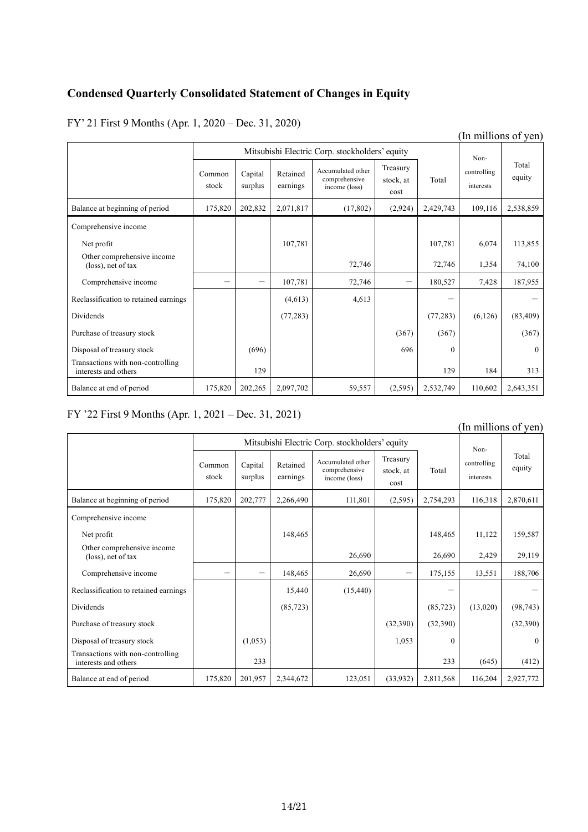### **Condensed Quarterly Consolidated Statement of Changes in Equity**

FY' 21 First 9 Months (Apr. 1, 2020 – Dec. 31, 2020)

|                                                           |                 |                    |                      |                                                     |                               |           |                                  | m minions or you |
|-----------------------------------------------------------|-----------------|--------------------|----------------------|-----------------------------------------------------|-------------------------------|-----------|----------------------------------|------------------|
| Mitsubishi Electric Corp. stockholders' equity            |                 |                    |                      |                                                     |                               |           |                                  |                  |
|                                                           | Common<br>stock | Capital<br>surplus | Retained<br>earnings | Accumulated other<br>comprehensive<br>income (loss) | Treasury<br>stock, at<br>cost | Total     | Non-<br>controlling<br>interests | Total<br>equity  |
| Balance at beginning of period                            | 175,820         | 202,832            | 2,071,817            | (17, 802)                                           | (2,924)                       | 2,429,743 | 109,116                          | 2,538,859        |
| Comprehensive income                                      |                 |                    |                      |                                                     |                               |           |                                  |                  |
| Net profit                                                |                 |                    | 107,781              |                                                     |                               | 107,781   | 6,074                            | 113,855          |
| Other comprehensive income<br>(loss), net of tax          |                 |                    |                      | 72,746                                              |                               | 72,746    | 1,354                            | 74,100           |
| Comprehensive income                                      |                 | $\qquad \qquad$    | 107,781              | 72,746                                              |                               | 180,527   | 7,428                            | 187,955          |
| Reclassification to retained earnings                     |                 |                    | (4,613)              | 4,613                                               |                               |           |                                  |                  |
| Dividends                                                 |                 |                    | (77, 283)            |                                                     |                               | (77, 283) | (6,126)                          | (83, 409)        |
| Purchase of treasury stock                                |                 |                    |                      |                                                     | (367)                         | (367)     |                                  | (367)            |
| Disposal of treasury stock                                |                 | (696)              |                      |                                                     | 696                           | $\theta$  |                                  | $\overline{0}$   |
| Transactions with non-controlling<br>interests and others |                 | 129                |                      |                                                     |                               | 129       | 184                              | 313              |
| Balance at end of period                                  | 175,820         | 202,265            | 2,097,702            | 59,557                                              | (2,595)                       | 2,532,749 | 110,602                          | 2,643,351        |

### FY '22 First 9 Months (Apr. 1, 2021 – Dec. 31, 2021)

#### Mitsubishi Electric Corp. stockholders' equity Noncontrolling interests Total  $\text{Common}$  Capital Retained  $\left| \begin{array}{c} \text{Accumuated outer} \\ \text{comprehensive} \end{array} \right|$   $\left| \begin{array}{c} \text{controlling} \\ \text{controlling} \end{array} \right|$  equity stock Capital surplus Retained earnings Accumulated other comprehensive income (loss) Treasury stock, at cost Total Balance at beginning of period 175,820 202,777 2,266,490 111,801 (2,595) 2,754,293 116,318 2,870,611 Comprehensive income Net profit 148,465 | 148,465 | 148,465 | 148,465 | 148,465 | 11,122 | 159,587 Other comprehensive income (loss), net of tax 26,690 2,429 29,119 Comprehensive income  $148,465$   $26,690$   $175,155$   $13,551$   $188,706$ Reclassification to retained earnings  $\begin{vmatrix} 15,440 & 15,440 \\ 15,440 & 15,440 \end{vmatrix}$   $\begin{vmatrix} 15,440 & -1 \\ -1 & 15,440 & -1 \end{vmatrix}$ Dividends (85,723) (13,020) (98,743) (85,723) (13,020) (98,743) Purchase of treasury stock  $\begin{vmatrix} 1 & 1 \\ 1 & 1 \end{vmatrix}$  (32,390) (32,390) (32,390) (32,390) Disposal of treasury stock  $(1,0.53)$  1,053 0 0 0 0 0 0 Transactions with non-controlling interests and others  $\begin{bmatrix} 233 \\ 233 \end{bmatrix}$  (645) (645) (412) Balance at end of period 175,820 201,957 2,344,672 123,051 (33,932) 2,811,568 116,204 2,927,772

### (In millions of yen)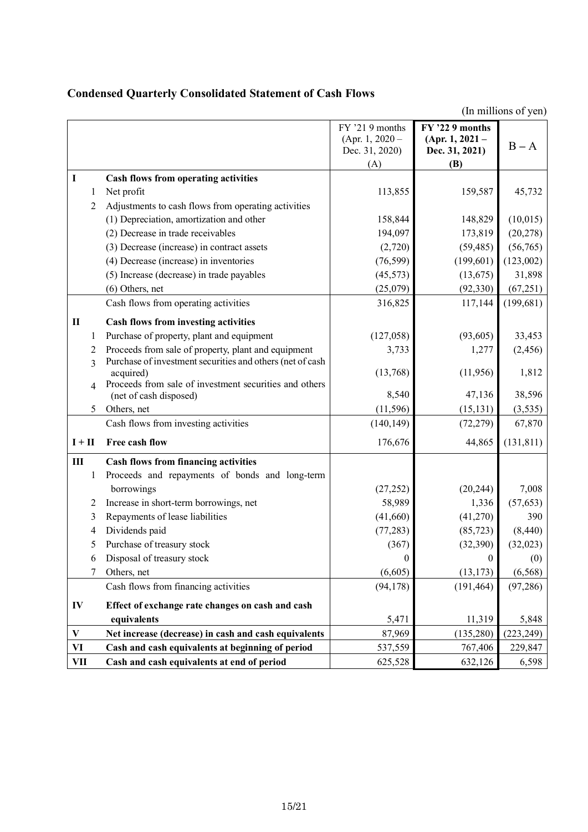## **Condensed Quarterly Consolidated Statement of Cash Flows**

|              |              |                                                                                  | FY '21 9 months<br>(Apr. 1, $2020 -$<br>Dec. 31, 2020)<br>(A) | FY '22 9 months<br>(Apr. 1, 2021 –<br>Dec. 31, 2021)<br>(B) | $B - A$    |
|--------------|--------------|----------------------------------------------------------------------------------|---------------------------------------------------------------|-------------------------------------------------------------|------------|
| I            |              | Cash flows from operating activities                                             |                                                               |                                                             |            |
|              | 1            | Net profit                                                                       | 113,855                                                       | 159,587                                                     | 45,732     |
|              | 2            | Adjustments to cash flows from operating activities                              |                                                               |                                                             |            |
|              |              | (1) Depreciation, amortization and other                                         | 158,844                                                       | 148,829                                                     | (10, 015)  |
|              |              | (2) Decrease in trade receivables                                                | 194,097                                                       | 173,819                                                     | (20, 278)  |
|              |              | (3) Decrease (increase) in contract assets                                       | (2,720)                                                       | (59, 485)                                                   | (56, 765)  |
|              |              | (4) Decrease (increase) in inventories                                           | (76, 599)                                                     | (199, 601)                                                  | (123,002)  |
|              |              | (5) Increase (decrease) in trade payables                                        | (45, 573)                                                     | (13, 675)                                                   | 31,898     |
|              |              | $(6)$ Others, net                                                                | (25,079)                                                      | (92, 330)                                                   | (67, 251)  |
|              |              | Cash flows from operating activities                                             | 316,825                                                       | 117,144                                                     | (199, 681) |
| П            |              | <b>Cash flows from investing activities</b>                                      |                                                               |                                                             |            |
|              | 1            | Purchase of property, plant and equipment                                        | (127,058)                                                     | (93, 605)                                                   | 33,453     |
|              | 2            | Proceeds from sale of property, plant and equipment                              | 3,733                                                         | 1,277                                                       | (2, 456)   |
|              | 3            | Purchase of investment securities and others (net of cash<br>acquired)           | (13,768)                                                      | (11,956)                                                    | 1,812      |
|              |              | Proceeds from sale of investment securities and others<br>(net of cash disposed) | 8,540                                                         | 47,136                                                      | 38,596     |
|              | 5            | Others, net                                                                      | (11, 596)                                                     | (15, 131)                                                   | (3, 535)   |
|              |              | Cash flows from investing activities                                             | (140, 149)                                                    | (72, 279)                                                   | 67,870     |
| $I + II$     |              | Free cash flow                                                                   | 176,676                                                       | 44,865                                                      | (131, 811) |
| Ш            |              | <b>Cash flows from financing activities</b>                                      |                                                               |                                                             |            |
|              | $\mathbf{1}$ | Proceeds and repayments of bonds and long-term                                   |                                                               |                                                             |            |
|              |              | borrowings                                                                       | (27, 252)                                                     | (20, 244)                                                   | 7,008      |
|              | 2            | Increase in short-term borrowings, net                                           | 58,989                                                        | 1,336                                                       | (57, 653)  |
|              | 3            | Repayments of lease liabilities                                                  | (41,660)                                                      | (41,270)                                                    | 390        |
|              | 4            | Dividends paid                                                                   | (77, 283)                                                     | (85, 723)                                                   | (8, 440)   |
|              | 5            | Purchase of treasury stock                                                       | (367)                                                         | (32, 390)                                                   | (32,023)   |
|              | 6            | Disposal of treasury stock                                                       | $\overline{0}$                                                | $\mathbf{0}$                                                | (0)        |
|              | 7            | Others, net                                                                      | (6,605)                                                       | (13, 173)                                                   | (6, 568)   |
|              |              | Cash flows from financing activities                                             | (94, 178)                                                     | (191, 464)                                                  | (97, 286)  |
| IV           |              | Effect of exchange rate changes on cash and cash                                 |                                                               |                                                             |            |
|              |              | equivalents                                                                      | 5,471                                                         | 11,319                                                      | 5,848      |
| $\mathbf{V}$ |              | Net increase (decrease) in cash and cash equivalents                             | 87,969                                                        | (135, 280)                                                  | (223, 249) |
| VI           |              | Cash and cash equivalents at beginning of period                                 | 537,559                                                       | 767,406                                                     | 229,847    |
| VII          |              | Cash and cash equivalents at end of period                                       | 625,528                                                       | 632,126                                                     | 6,598      |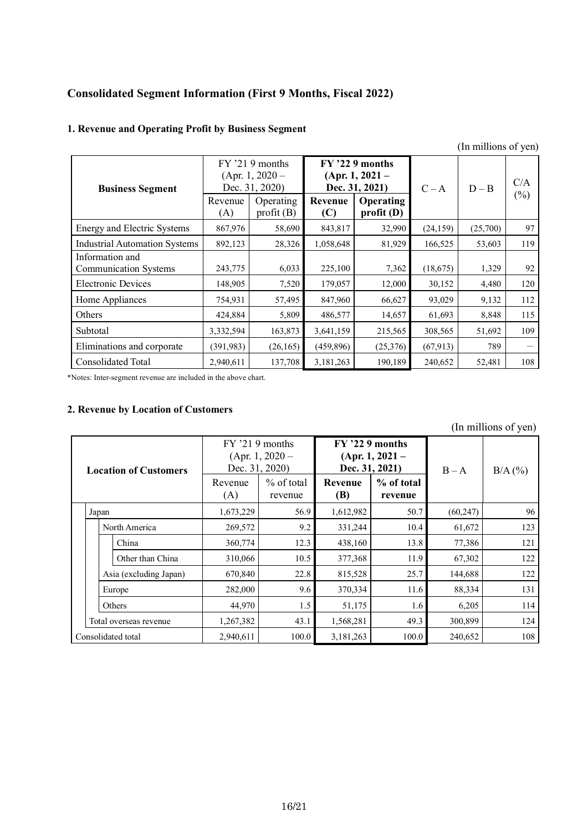### **Consolidated Segment Information (First 9 Months, Fiscal 2022)**

### **1. Revenue and Operating Profit by Business Segment**

|                                      |            |                                                                       |                  |                                                                              |           | тні пішнонь от усп) |               |
|--------------------------------------|------------|-----------------------------------------------------------------------|------------------|------------------------------------------------------------------------------|-----------|---------------------|---------------|
| <b>Business Segment</b>              | Revenue    | $FY$ '21.9 months<br>$(Apr. 1, 2020 -$<br>Dec. 31, 2020)<br>Operating | Revenue          | $FY$ '22 9 months<br>$(Apr. 1, 2021 -$<br>Dec. 31, 2021)<br><b>Operating</b> | $C - A$   | $D - B$             | C/A<br>$(\%)$ |
|                                      | (A)        | profit(B)                                                             | profit(D)<br>(C) |                                                                              |           |                     |               |
| Energy and Electric Systems          | 867,976    | 58,690                                                                | 843,817          | 32,990                                                                       | (24, 159) | (25,700)            | 97            |
| <b>Industrial Automation Systems</b> | 892,123    | 28,326                                                                | 1,058,648        | 81,929                                                                       | 166,525   | 53,603              | 119           |
| Information and                      |            |                                                                       |                  |                                                                              |           |                     |               |
| <b>Communication Systems</b>         | 243,775    | 6,033                                                                 | 225,100          | 7,362                                                                        | (18, 675) | 1,329               | 92            |
| <b>Electronic Devices</b>            | 148,905    | 7,520                                                                 | 179,057          | 12,000                                                                       | 30,152    | 4,480               | 120           |
| Home Appliances                      | 754,931    | 57,495                                                                | 847,960          | 66,627                                                                       | 93,029    | 9,132               | 112           |
| Others                               | 424,884    | 5,809                                                                 | 486,577          | 14,657                                                                       | 61,693    | 8,848               | 115           |
| Subtotal                             | 3,332,594  | 163,873                                                               | 3,641,159        | 215,565                                                                      | 308,565   | 51,692              | 109           |
| Eliminations and corporate           | (391, 983) | (26, 165)                                                             | (459, 896)       | (25,376)                                                                     | (67, 913) | 789                 |               |
| Consolidated Total                   | 2,940,611  | 137,708                                                               | 3,181,263        | 190,189                                                                      | 240,652   | 52,481              | 108           |

\*Notes: Inter-segment revenue are included in the above chart.

### **2. Revenue by Location of Customers**

(In millions of yen)

| <b>Location of Customers</b> |                        |        |                        | $FY$ '21.9 months<br>Dec. 31, 2020) | $(Apr. 1, 2020 -$     | $FY$ '22 9 months<br>Dec. 31, 2021) | $(Apr. 1, 2021 -$     | $B - A$   | $B/A$ $(\% )$ |
|------------------------------|------------------------|--------|------------------------|-------------------------------------|-----------------------|-------------------------------------|-----------------------|-----------|---------------|
|                              |                        |        |                        | Revenue<br>(A)                      | % of total<br>revenue | Revenue<br><b>(B)</b>               | % of total<br>revenue |           |               |
| Japan                        |                        |        |                        | 1,673,229                           | 56.9                  | 1,612,982                           | 50.7                  | (60, 247) | 96            |
|                              | North America          |        |                        | 269,572                             | 9.2                   | 331,244                             | 10.4                  | 61,672    | 123           |
|                              |                        |        | China                  | 360,774                             | 12.3                  | 438,160                             | 13.8                  | 77,386    | 121           |
|                              |                        |        | Other than China       | 310,066                             | 10.5                  | 377,368                             | 11.9                  | 67,302    | 122           |
|                              |                        |        | Asia (excluding Japan) | 670,840                             | 22.8                  | 815,528                             | 25.7                  | 144,688   | 122           |
|                              | Europe                 |        | 282,000                | 9.6                                 | 370,334               | 11.6                                | 88,334                | 131       |               |
|                              |                        | Others |                        | 44,970                              | 1.5                   | 51,175                              | 1.6                   | 6,205     | 114           |
|                              | Total overseas revenue |        | 1,267,382              | 43.1                                | 1,568,281             | 49.3                                | 300,899               | 124       |               |
|                              | Consolidated total     |        |                        | 2,940,611                           | 100.0                 | 3,181,263                           | 100.0                 | 240,652   | 108           |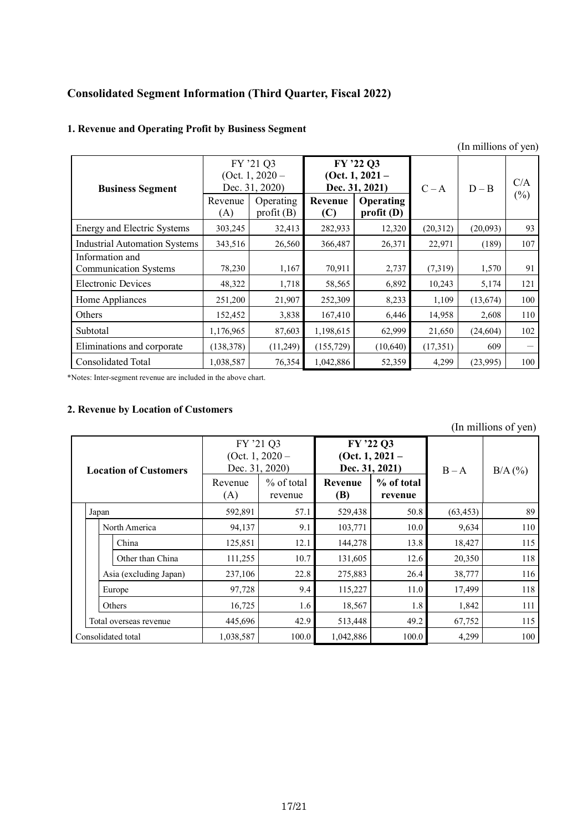### **Consolidated Segment Information (Third Quarter, Fiscal 2022)**

### **1. Revenue and Operating Profit by Business Segment**

|                                                 |                |                                                                            |                |                                                                                   |          | (III IIIIIIIOIIS OL YEII <i>)</i> |               |
|-------------------------------------------------|----------------|----------------------------------------------------------------------------|----------------|-----------------------------------------------------------------------------------|----------|-----------------------------------|---------------|
| <b>Business Segment</b>                         | Revenue<br>(A) | FY '21 Q3<br>(Oct. 1, $2020 -$<br>Dec. 31, 2020)<br>Operating<br>profit(B) | Revenue<br>(C) | FY '22 Q3<br>(Oct. 1, $2021 -$<br>Dec. 31, 2021)<br><b>Operating</b><br>profit(D) | $C - A$  | $D - B$                           | C/A<br>$(\%)$ |
| Energy and Electric Systems                     | 303,245        | 32,413                                                                     | 282,933        | 12,320                                                                            | (20,312) | (20,093)                          | 93            |
| <b>Industrial Automation Systems</b>            | 343,516        | 26,560                                                                     | 366,487        | 26,371                                                                            | 22,971   | (189)                             | 107           |
| Information and<br><b>Communication Systems</b> | 78,230         | 1,167                                                                      | 70,911         | 2,737                                                                             | (7,319)  | 1,570                             | 91            |
| <b>Electronic Devices</b>                       | 48,322         | 1,718                                                                      | 58,565         | 6,892                                                                             | 10,243   | 5,174                             | 121           |
| Home Appliances                                 | 251,200        | 21,907                                                                     | 252,309        | 8,233                                                                             | 1,109    | (13,674)                          | 100           |
| Others                                          | 152,452        | 3,838                                                                      | 167,410        | 6,446                                                                             | 14,958   | 2,608                             | 110           |
| Subtotal                                        | 1,176,965      | 87,603                                                                     | 1,198,615      | 62,999                                                                            | 21,650   | (24, 604)                         | 102           |
| Eliminations and corporate                      | (138, 378)     | (11,249)                                                                   | (155, 729)     | (10,640)                                                                          | (17,351) | 609                               |               |
| <b>Consolidated Total</b>                       | 1,038,587      | 76,354                                                                     | 1,042,886      | 52,359                                                                            | 4,299    | (23,995)                          | 100           |

\*Notes: Inter-segment revenue are included in the above chart.

### **2. Revenue by Location of Customers**

(In millions of yen)

| <b>Location of Customers</b> |                        |                        |         | FY '21 Q3<br>Dec. 31, 2020) | (Oct. 1, $2020 -$     | FY '22 Q3<br>Dec. 31, 2021)  | (Oct. 1, $2021 -$     | $B - A$   | $B/A$ (%) |
|------------------------------|------------------------|------------------------|---------|-----------------------------|-----------------------|------------------------------|-----------------------|-----------|-----------|
|                              |                        |                        |         | Revenue<br>(A)              | % of total<br>revenue | <b>Revenue</b><br><b>(B)</b> | % of total<br>revenue |           |           |
| Japan                        |                        |                        |         | 592,891                     | 57.1                  | 529,438                      | 50.8                  | (63, 453) | 89        |
|                              | North America          |                        |         | 94,137                      | 9.1                   | 103,771                      | 10.0                  | 9,634     | 110       |
|                              |                        | China                  |         | 125,851                     | 12.1                  | 144,278                      | 13.8                  | 18,427    | 115       |
|                              |                        | Other than China       |         | 111,255                     | 10.7                  | 131,605                      | 12.6                  | 20,350    | 118       |
|                              |                        | Asia (excluding Japan) |         | 237,106                     | 22.8                  | 275,883                      | 26.4                  | 38,777    | 116       |
|                              | Europe                 |                        |         | 97,728                      | 9.4                   | 115,227                      | 11.0                  | 17,499    | 118       |
|                              |                        | Others                 |         | 16,725                      | 1.6                   | 18,567                       | 1.8                   | 1,842     | 111       |
|                              | Total overseas revenue |                        | 445,696 | 42.9                        | 513,448               | 49.2                         | 67,752                | 115       |           |
|                              | Consolidated total     |                        |         | 1,038,587                   | 100.0                 | 1,042,886                    | 100.0                 | 4,299     | 100       |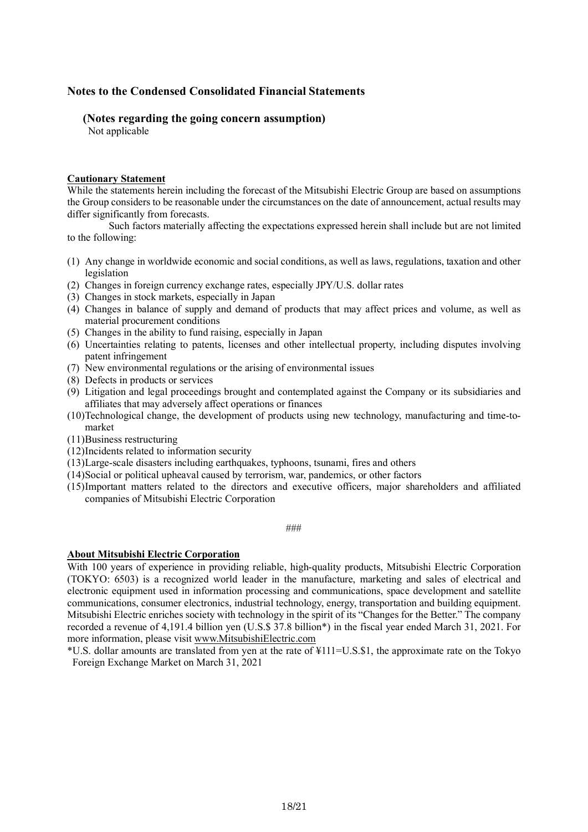### **Notes to the Condensed Consolidated Financial Statements**

### **(Notes regarding the going concern assumption)**

Not applicable

### **Cautionary Statement**

While the statements herein including the forecast of the Mitsubishi Electric Group are based on assumptions the Group considers to be reasonable under the circumstances on the date of announcement, actual results may differ significantly from forecasts.

Such factors materially affecting the expectations expressed herein shall include but are not limited to the following:

- (1) Any change in worldwide economic and social conditions, as well as laws, regulations, taxation and other legislation
- (2) Changes in foreign currency exchange rates, especially JPY/U.S. dollar rates
- (3) Changes in stock markets, especially in Japan
- (4) Changes in balance of supply and demand of products that may affect prices and volume, as well as material procurement conditions
- (5) Changes in the ability to fund raising, especially in Japan
- (6) Uncertainties relating to patents, licenses and other intellectual property, including disputes involving patent infringement
- (7) New environmental regulations or the arising of environmental issues
- (8) Defects in products or services
- (9) Litigation and legal proceedings brought and contemplated against the Company or its subsidiaries and affiliates that may adversely affect operations or finances
- (10)Technological change, the development of products using new technology, manufacturing and time-tomarket
- (11)Business restructuring
- (12)Incidents related to information security
- (13)Large-scale disasters including earthquakes, typhoons, tsunami, fires and others
- (14)Social or political upheaval caused by terrorism, war, pandemics, or other factors
- (15)Important matters related to the directors and executive officers, major shareholders and affiliated companies of Mitsubishi Electric Corporation

###

#### **About Mitsubishi Electric Corporation**

With 100 years of experience in providing reliable, high-quality products, Mitsubishi Electric Corporation (TOKYO: 6503) is a recognized world leader in the manufacture, marketing and sales of electrical and electronic equipment used in information processing and communications, space development and satellite communications, consumer electronics, industrial technology, energy, transportation and building equipment. Mitsubishi Electric enriches society with technology in the spirit of its "Changes for the Better." The company recorded a revenue of 4,191.4 billion yen (U.S.\$ 37.8 billion\*) in the fiscal year ended March 31, 2021. For more information, please visit www.MitsubishiElectric.com

\*U.S. dollar amounts are translated from yen at the rate of ¥111=U.S.\$1, the approximate rate on the Tokyo Foreign Exchange Market on March 31, 2021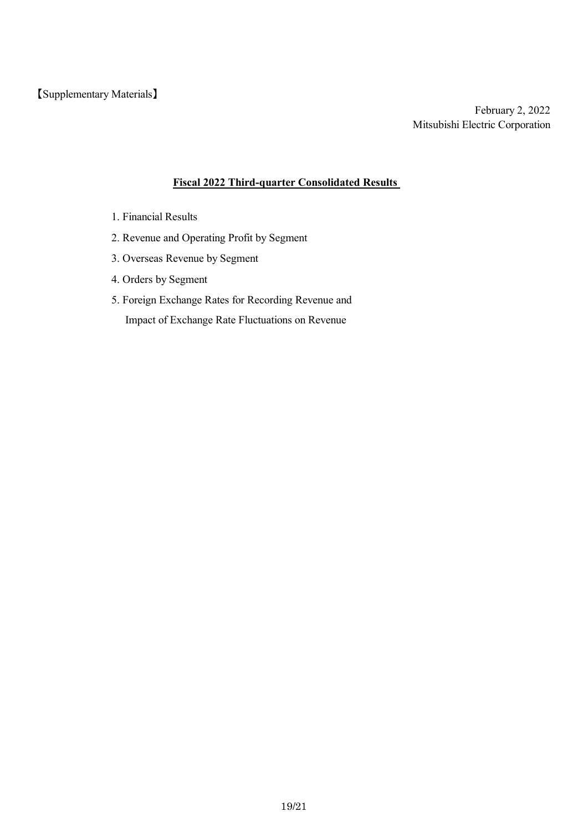### **Fiscal 2022 Third-quarter Consolidated Results**

- 1. Financial Results
- 2. Revenue and Operating Profit by Segment
- 3. Overseas Revenue by Segment
- 4. Orders by Segment
- 5. Foreign Exchange Rates for Recording Revenue and Impact of Exchange Rate Fluctuations on Revenue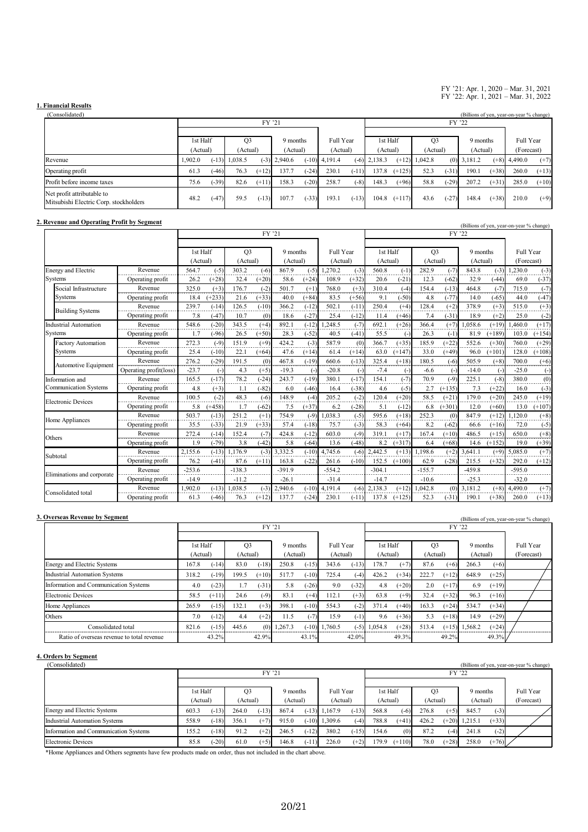#### FY '21: Apr. 1, 2020 – Mar. 31, 2021 FY '22: Apr. 1, 2021 – Mar. 31, 2022

# **1. Financial Results**

| (Consolidated)                                                       |                            |         |          |         |                |                       |          |         |                |          |                |         |          |         | (Billions of yen, year-on-year % change) |         |
|----------------------------------------------------------------------|----------------------------|---------|----------|---------|----------------|-----------------------|----------|---------|----------------|----------|----------------|---------|----------|---------|------------------------------------------|---------|
|                                                                      |                            |         |          | FY '21  |                |                       |          |         |                |          |                |         |          |         |                                          |         |
|                                                                      | 1st Half<br>O <sub>3</sub> |         |          |         |                | Full Year<br>9 months |          |         | 1st Half       |          | O <sub>3</sub> |         | 9 months |         | Full Year                                |         |
|                                                                      | (Actual)                   |         | (Actual) |         | (Actual)       |                       | (Actual) |         | (Actual)       |          | (Actual)       |         | (Actual) |         | (Forecast)                               |         |
| Revenue                                                              | 1.902.0                    | $-13$ ) | 1.038.5  |         | $(-3)$ 2,940.6 | $(-10)$               | 4.191.4  |         | $(-6)$ 2,138.3 | $(+12)$  | 1,042.8        | (0)     | 3.181.2  | $(+8)$  | 4,490.0                                  | $(+7)$  |
| Operating profit                                                     | 61.3                       | $-46$   | 76.3     | $(+12)$ | 137.7          | $(-24)$               | 230.1    | $(-11)$ | 137.8          | $(+125)$ | 52.3           | $(-31)$ | 190.1    | $(+38)$ | 260.0                                    | $(+13)$ |
| Profit before income taxes                                           | 75.6                       | $(-39)$ | 82.6     | $(+11)$ | 158.3          | $(-20)$               | 258.7    | $(-8)$  | 148.3          | $(+96)$  | 58.8           | $(-29)$ | 207.2    | $(+31)$ | 285.0                                    | $(+10)$ |
| Net profit attributable to<br>Mitsubishi Electric Corp. stockholders | 48.2                       | $(-47)$ | 59.5     | $(-13)$ | 107.7          | $(-33)$               | 193.1    | $(-13)$ | 104.8          | $(+117)$ | 43.6           | $(-27)$ | 148.4    | $(+38)$ | 210.0                                    | $(+9)$  |

### **2. Revenue and Operating Profit by Segment** (Billions of yen, year-on-year % change)

|                              |                        |          |          |                | FY '21  |          |          |           |          |          |                    |                | FY '22   |          |          | $\alpha$ is the contract of $\alpha$ is the contract of $\alpha$ is the contract of $\alpha$ |          |
|------------------------------|------------------------|----------|----------|----------------|---------|----------|----------|-----------|----------|----------|--------------------|----------------|----------|----------|----------|----------------------------------------------------------------------------------------------|----------|
|                              |                        |          |          |                |         |          |          |           |          |          |                    |                |          |          |          |                                                                                              |          |
|                              |                        | 1st Half |          | O <sub>3</sub> |         | 9 months |          | Full Year |          | 1st Half |                    | Q <sub>3</sub> |          | 9 months |          | Full Year                                                                                    |          |
|                              |                        | (Actual) |          | (Actual)       |         |          | (Actual) |           | (Actual) | (Actual) |                    | (Actual)       |          | (Actual) |          | (Forecast)                                                                                   |          |
| <b>Energy and Electric</b>   | Revenue                | 564.7    | $(-5)$   | 303.2          | $(-6)$  | 867.9    | $(-5)$   | 1,270.2   | $(-3)$   | 560.8    | $(-1)$             | 282.9          | $(-7)$   | 843.8    | $(-3)$   | 1,230.0                                                                                      | $(-3)$   |
| Systems                      | Operating profit       | 26.2     | $(+28)$  | 32.4           | $(+20)$ | 58.6     | $(+24)$  | 108.9     | $(+32)$  | 20.6     | $(-21)$            | 12.3           | $(-62)$  | 32.9     | $(-44)$  | 69.0                                                                                         | $(-37)$  |
| Social Infrastructure        | Revenue                | 325.0    | $(+3)$   | 176.7          | $(-2)$  | 501.7    | $(+1)$   | 768.0     | $(+3)$   | 310.4    | $(-4)$             | 154.4          | $(-13)$  | 464.8    | $(-7)$   | 715.0                                                                                        | $(-7)$   |
| Systems                      | Operating profit       | 18.4     | $(+233)$ | 21.6           | $(+33)$ | 40.0     | $(+84)$  | 83.5      | $(+56)$  | 9.1      | $(-50)$            | 4.8            | $(-77)$  | 14.0     | $(-65)$  | 44.0                                                                                         | $(-47)$  |
| <b>Building Systems</b>      | Revenue                | 239.7    | $(-14)$  | 126.5          | $(-10)$ | 366.2    | $(-12)$  | 502.1     | $(-11)$  | 250.4    | $(+4)$             | 128.4          | $(+2)$   | 378.9    | $(+3)$   | 515.0                                                                                        | $(+3)$   |
|                              | Operating profit       | 7.8      | $(-47)$  | 10.7           | (0)     | 18.6     | $(-27)$  | 25.4      | $(-12)$  | 11.4     | $(+46)$            | 7.4            | $(-31)$  | 18.9     | $(+2)$   | 25.0                                                                                         | $(-2)$   |
| Industrial Automation        | Revenue                | 548.6    | $(-20)$  | 343.5          | $(+4)$  | 892.1    | $(-12)$  | .248.5    | $(-7)$   | 692.1    | $(+26)$            | 366.4          | $(+7)$   | .058.6   | $(+19)$  | 1.460.0                                                                                      | $(+17)$  |
| Systems                      | Operating profit       | 1.7      | $(-96)$  | 26.5           | $(+50)$ | 28.3     | $(-52)$  | 40.5      | $(-41)$  | 55.5     | $(\textnormal{-})$ | 26.3           | $(-1)$   | 81.9     | $(+189)$ | 103.0                                                                                        | $(+154)$ |
| <b>Factory Automation</b>    | Revenue                | 272.3    | $(-9)$   | 151.9          | $(+9)$  | 424.2    | $(-3)$   | 587.9     | (0)      | 366.7    | $(+35)$            | 185.9          | $(+22)$  | 552.6    | $(+30)$  | 760.0                                                                                        | $(+29)$  |
| Systems                      | Operating profit       | 25.4     | $(-10)$  | 22.1           | $(+64)$ | 47.6     | $(+14)$  | 61.4      | $(+14)$  | 63.0     | $(+147)$           | 33.0           | $(+49)$  | 96.0     | $(+101)$ | 128.0                                                                                        | $(+108)$ |
|                              | Revenue                | 276.2    | $(-29)$  | 191.5          | (0)     | 467.8    | $(-19)$  | 660.6     | $(-13)$  | 325.4    | $(+18)$            | 180.5          | $(-6)$   | 505.9    | $(+8)$   | 700.0                                                                                        | $(+6)$   |
| Automotive Equipment         | Operating profit(loss) | $-23.7$  | $(-)$    | 4.3            | $(+5)$  | $-19.3$  | $(-)$    | $-20.8$   | $(-)$    | $-7.4$   | $(-)$              | $-6.6$         | $(-)$    | $-14.0$  | $(-)$    | $-25.0$                                                                                      | $(-)$    |
| Information and              | Revenue                | 165.5    | $(-17)$  | 78.2           | $(-24)$ | 243.7    | $(-19)$  | 380.1     | $(-17)$  | 154.1    | $(-7)$             | 70.9           | $(-9)$   | 225.1    | $(-8)$   | 380.0                                                                                        | (0)      |
| <b>Communication Systems</b> | Operating profit       | 4.8      | $(+3)$   | 1.1            | $(-82)$ | 6.0      | $(-46)$  | 16.4      | $(-38)$  | 4.6      | $(-5)$             | 2.7            | $(+135)$ | 7.3      | $(+22)$  | 16.0                                                                                         | $(-3)$   |
| <b>Electronic Devices</b>    | Revenue                | 100.5    | $(-2)$   | 48.3           | $(-6)$  | 148.9    | $(-4)$   | 205.2     | $(-2)$   | 120.4    | $(+20)$            | 58.5           | $(+21)$  | 179.0    | $(+20)$  | 245.0                                                                                        | $(+19)$  |
|                              | Operating profit       | 5.8      | $(+458)$ | 1.7            | $(-62)$ | 7.5      | $(+37)$  | 6.2       | $(-28)$  | 5.1      | $(-12)$            | 6.8            | $(+301)$ | 12.0     | $(+60)$  | 13.0                                                                                         | $(+107)$ |
|                              | Revenue                | 503.7    | $(-13)$  | 251.2          | $(+1)$  | 754.9    | $(-9)$   | 1,038.3   | $(-5)$   | 595.6    | $(+18)$            | 252.3          | (0)      | 847.9    | $(+12)$  | 1,120.0                                                                                      | $(+8)$   |
| Home Appliances              | Operating profit       | 35.5     | $(-33)$  | 21.9           | $(+33)$ | 57.4     | $(-18)$  | 75.7      | $(-3)$   | 58.3     | $(+64)$            | 8.2            | $(-62)$  | 66.6     | $(+16)$  | 72.0                                                                                         | $(-5)$   |
| Others                       | Revenue                | 272.4    | $(-14)$  | 152.4          | $(-7)$  | 424.8    | $(-12)$  | 603.0     | $(-9)$   | 319.1    | $(+17)$            | 167.4          | $(+10)$  | 486.5    | $(+15)$  | 650.0                                                                                        | $(+8)$   |
|                              | Operating profit       | 1.9      | $(-79)$  | 3.8            | $(-42)$ | 5.8      | $(-64)$  | 13.6      | $(-48)$  | 8.2      | $(+317)$           | 6.4            | $(+68)$  | 14.6     | $(+152)$ | 19.0                                                                                         | $(+39)$  |
| Subtotal                     | Revenue                | 2.155.6  | $(-13)$  | 1.176.9        | $(-3)$  | 3.332.5  | $(-10)$  | 4.745.6   | $(-6)$   | 2.442.5  | $(+13)$            | 1.198.6        | $(+2)$   | 3.641.1  | $(+9)$   | 5.085.0                                                                                      | $(+7)$   |
|                              | Operating profit       | 76.2     | $(-41)$  | 87.6           | $(+11)$ | 163.8    | $(-22)$  | 261.6     | $(-10)$  | 152.5    | $(+100)$           | 62.9           | $(-28)$  | 215.5    | $(+32)$  | 292.0                                                                                        | $(+12)$  |
|                              | Revenue                | $-253.6$ |          | $-138.3$       |         | $-391.9$ |          | $-554.2$  |          | $-304.1$ |                    | $-155.7$       |          | $-459.8$ |          | $-595.0$                                                                                     |          |
| Eliminations and corporate   | Operating profit       | $-14.9$  |          | $-11.2$        |         | $-26.1$  |          | $-31.4$   |          | $-14.7$  |                    | $-10.6$        |          | $-25.3$  |          | $-32.0$                                                                                      |          |
|                              | Revenue                | 1.902.0  | $(-13)$  | 1.038.5        | $(-3)$  | 2.940.6  | $(-10)$  | 4.191.4   | $(-6)$   | 2.138.3  | $(+12)$            | 1.042.8        | (0)      | 3.181.2  | $(+8)$   | 4,490.0                                                                                      | $(+7)$   |
| Consolidated total           | Operating profit       | 61.3     | $(-46)$  | 76.3           | $(+12)$ | 137.7    | $(-24)$  | 230.1     | $(-11)$  | 137.8    | $(+125)$           | 52.3           | $(-31)$  | 190.1    | $(+38)$  | 260.0                                                                                        | $(+13)$  |

| 3. Overseas Revenue by Segment             |          |         |                |         |          |         |                 |         |          |         |                |         |          |         | (Billions of yen, year-on-year % change) |
|--------------------------------------------|----------|---------|----------------|---------|----------|---------|-----------------|---------|----------|---------|----------------|---------|----------|---------|------------------------------------------|
|                                            |          | FY '21  |                |         |          |         |                 |         | FY '22   |         |                |         |          |         |                                          |
|                                            |          |         |                |         |          |         |                 |         |          |         |                |         |          |         |                                          |
|                                            | 1st Half |         | O <sub>3</sub> |         | 9 months |         | Full Year       |         | 1st Half |         | Q <sub>3</sub> |         | 9 months |         | Full Year                                |
|                                            | (Actual) |         | (Actual)       |         | (Actual) |         | (Actual)        |         | (Actual) |         | (Actual)       |         | (Actual) |         | (Forecast)                               |
| Energy and Electric Systems                | 167.8    | $(-14)$ | 83.0           | $(-18)$ | 250.8    | $(-15)$ | 343.6           | $(-13)$ | 178.7    | $(+7)$  | 87.6           | $(+6)$  | 266.3    | $(+6)$  |                                          |
| <b>Industrial Automation Systems</b>       | 318.2    | $(-19)$ | 199.5          | $(+10)$ | 517.7    | $(-10)$ | 725.4           | $(-4)$  | 426.2    | $(+34)$ | 222.7          | $(+12)$ | 648.9    | $(+25)$ |                                          |
| Information and Communication Systems      | 4.0      | $(-23)$ | 1.7            | $(-31)$ | 5.8      | $(-26)$ | 9.0             | $(-32)$ | 4.8      | $(+20)$ | 2.0            | $(+17)$ | 6.9      | $(+19)$ |                                          |
| Electronic Devices                         | 58.5     | $(+11)$ | 24.6           | $(-9)$  | 83.1     | $(+4)$  | 112.1           | $(+3)$  | 63.8     | $(+9)$  | 32.4           | $(+32)$ | 96.3     | $(+16)$ |                                          |
| Home Appliances                            | 265.9    | $(-15)$ | 132.1          | $(+3)$  | 398.1    | $(-10)$ | 554.3           | $(-2)$  | 371.4    | $(+40)$ | 163.3          | $(+24)$ | 534.7    | $(+34)$ |                                          |
| Others                                     | 7.0      | $(-12)$ | 4.4            | $(+2)$  | 11.5     | $(-7)$  | 15.9            | (-1     | 9.6      | $(+36)$ | 5.3            | $(+18)$ | 14.9     | $(+29)$ |                                          |
| Consolidated total                         | 821.6    | $(-15)$ | 445.6          | (0)     | 1,267.3  |         | $(-10)$ 1,760.5 | $(-5)$  | 1.054.8  | $(+28)$ | 513.4          | $(+15)$ | 1.568.2  | $(+24)$ |                                          |
| Ratio of overseas revenue to total revenue |          | 43.2%   |                | 42.9%   |          | 43.1%   |                 | 42.0%   |          | 49.3%   |                | 49.2%   |          | 49.3%   |                                          |

### **4. Orders by Segment**

| (Consolidated)                        |          |                                  |                |         |          |         |                 |                      |          |          |                |         |                 |         | (Billions of yen, year-on-year % change) |
|---------------------------------------|----------|----------------------------------|----------------|---------|----------|---------|-----------------|----------------------|----------|----------|----------------|---------|-----------------|---------|------------------------------------------|
|                                       |          |                                  |                | FY '21  |          |         |                 |                      | FY '22   |          |                |         |                 |         |                                          |
|                                       |          |                                  |                |         |          |         |                 |                      |          |          |                |         |                 |         |                                          |
|                                       | 1st Half |                                  | O <sub>3</sub> |         | 9 months |         | Full Year       |                      | 1st Half |          | O <sub>3</sub> |         | 9 months        |         | Full Year                                |
|                                       |          | (Actual)<br>(Actual)<br>(Actual) |                |         |          |         |                 | (Actual)<br>(Actual) |          |          | (Actual)       |         | (Actual)        |         | (Forecast)                               |
| Energy and Electric Systems           | 603.3    | $(-13)$                          | 264.0          | $(-13)$ | 867.4    |         | $(-13)$ 1,167.9 | $(-13)$              | 568.8    | $(-6)$   | 276.8          | $(+5)$  | 845.7           | $(-3)$  |                                          |
| Industrial Automation Systems         | 558.9    | $(-18)$                          | 356.1          | $(+7)$  | 915.0    |         | $(-10)$ 1.309.6 | $(-4)$               | 788.8    | $(+41)$  | 426.2          |         | $(+20)$ 1,215.1 | $(+33)$ |                                          |
| Information and Communication Systems | 155.2    | $(-18)$                          | 91.2           | $(+2)$  | 246.5    | $(-12)$ | 380.2           | $(-15)$              | 154.6    | (0)      | 87.2           | $(-4)$  | 241.8           | $(-2)$  |                                          |
| Electronic Devices                    | 85.8     | $(-20)$                          | 61.0           | $(+5)$  | 146.8    | $(-11)$ | 226.0           | $(+2)$               | 179.9    | $(+110)$ | 78.0           | $(+28)$ | 258.0           | $(+76)$ |                                          |

\*Home Appliances and Others segments have few products made on order, thus not included in the chart above.